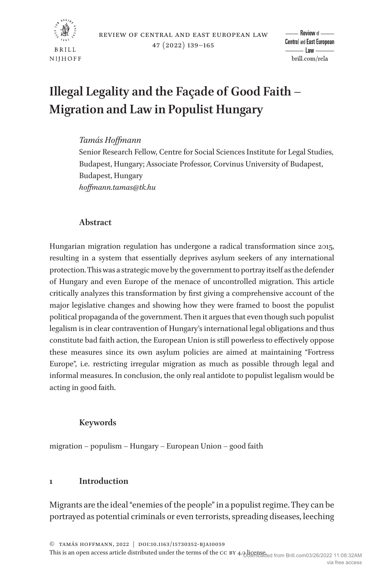

- Review of -**Central and East European**  $\frac{1}{2}$  Law  $$ brill.com/rela

# **Illegal Legality and the Façade of Good Faith – Migration and Law in Populist Hungary**

# *Tamás Hoffmann*

Senior Research Fellow, Centre for Social Sciences Institute for Legal Studies, Budapest, Hungary; Associate Professor, Corvinus University of Budapest, Budapest, Hungary *[hoffmann.tamas@tk.hu](mailto:hoffmann.tamas@tk.hu?subject=)*

## **Abstract**

Hungarian migration regulation has undergone a radical transformation since 2015, resulting in a system that essentially deprives asylum seekers of any international protection. This was a strategic move by the government to portray itself as the defender of Hungary and even Europe of the menace of uncontrolled migration. This article critically analyzes this transformation by first giving a comprehensive account of the major legislative changes and showing how they were framed to boost the populist political propaganda of the government. Then it argues that even though such populist legalism is in clear contravention of Hungary's international legal obligations and thus constitute bad faith action, the European Union is still powerless to effectively oppose these measures since its own asylum policies are aimed at maintaining "Fortress Europe", i.e. restricting irregular migration as much as possible through legal and informal measures. In conclusion, the only real antidote to populist legalism would be acting in good faith.

# **Keywords**

migration – populism – Hungary – European Union – good faith

# **1 Introduction**

Migrants are the ideal "enemies of the people" in a populist regime. They can be portrayed as potential criminals or even terrorists, spreading diseases, leeching

This is an open access article distributed under the terms of the CC BY 4. Discussed from Brill.com03/26/2022 11:08:32AM via free access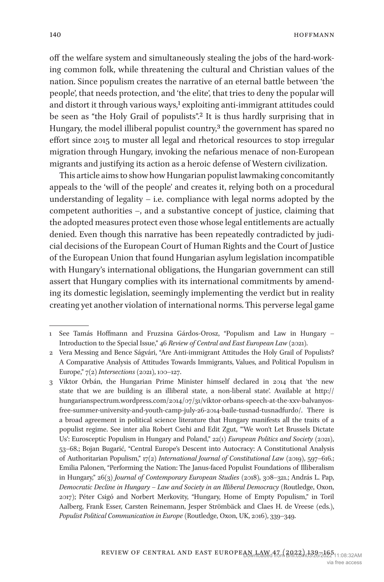off the welfare system and simultaneously stealing the jobs of the hard-working common folk, while threatening the cultural and Christian values of the nation. Since populism creates the narrative of an eternal battle between 'the people', that needs protection, and 'the elite', that tries to deny the popular will and distort it through various ways,<sup>[1](#page-1-0)</sup> exploiting anti-immigrant attitudes could be seen as "the Holy Grail of populists"[.2](#page-1-1) It is thus hardly surprising that in Hungary, the model illiberal populist country, $3$  the government has spared no effort since 2015 to muster all legal and rhetorical resources to stop irregular migration through Hungary, invoking the nefarious menace of non-European migrants and justifying its action as a heroic defense of Western civilization.

This article aims to show how Hungarian populist lawmaking concomitantly appeals to the 'will of the people' and creates it, relying both on a procedural understanding of legality – i.e. compliance with legal norms adopted by the competent authorities –, and a substantive concept of justice, claiming that the adopted measures protect even those whose legal entitlements are actually denied. Even though this narrative has been repeatedly contradicted by judicial decisions of the European Court of Human Rights and the Court of Justice of the European Union that found Hungarian asylum legislation incompatible with Hungary's international obligations, the Hungarian government can still assert that Hungary complies with its international commitments by amending its domestic legislation, seemingly implementing the verdict but in reality creating yet another violation of international norms. This perverse legal game

<span id="page-1-0"></span><sup>1</sup> See Tamás Hoffmann and Fruzsina Gárdos-Orosz, "Populism and Law in Hungary – Introduction to the Special Issue," 46 *Review of Central and East European Law* (2021).

<span id="page-1-1"></span><sup>2</sup> Vera Messing and Bence Ságvári, "Are Anti-immigrant Attitudes the Holy Grail of Populists? A Comparative Analysis of Attitudes Towards Immigrants, Values, and Political Populism in Europe," 7(2) *Intersections* (2021), 100–127.

<span id="page-1-2"></span><sup>3</sup> Viktor Orbán, the Hungarian Prime Minister himself declared in 2014 that 'the new state that we are building is an illiberal state, a non-liberal state'. Available at [http://](http://hungarianspectrum.wordpress.com/2014/07/31/viktor-orbans-speech-at-the-xxv-balvanyos-free-summer-university-and-youth-camp-july-26-2014-baile-tusnad-tusnadfurdo/) [hungarianspectrum.wordpress.com/2014/07/31/viktor-orbans-speech-at-the-xxv-balvanyos](http://hungarianspectrum.wordpress.com/2014/07/31/viktor-orbans-speech-at-the-xxv-balvanyos-free-summer-university-and-youth-camp-july-26-2014-baile-tusnad-tusnadfurdo/)[free-summer-university-and-youth-camp-july-26-2014-baile-tusnad-tusnadfurdo/.](http://hungarianspectrum.wordpress.com/2014/07/31/viktor-orbans-speech-at-the-xxv-balvanyos-free-summer-university-and-youth-camp-july-26-2014-baile-tusnad-tusnadfurdo/) There is a broad agreement in political science literature that Hungary manifests all the traits of a populist regime. See inter alia Robert Csehi and Edit Zgut, "'We won't Let Brussels Dictate Us': Eurosceptic Populism in Hungary and Poland," 22(1) *European Politics and Society* (2021), 53–68.; Bojan Bugarić, "Central Europe's Descent into Autocracy: A Constitutional Analysis of Authoritarian Populism," 17(2) *International Journal of Constitutional Law* (2019), 597–616.; Emilia Palonen, "Performing the Nation: The Janus-faced Populist Foundations of Illiberalism in Hungary," 26(3) *Journal of Contemporary European Studies* (2018), 308–321.; András L. Pap, *Democratic Decline in Hungary – Law and Society in an Illiberal Democracy* (Routledge, Oxon, 2017); Péter Csigó and Norbert Merkovity, "Hungary, Home of Empty Populism," in Toril Aalberg, Frank Esser, Carsten Reinemann, Jesper Strömbäck and Claes H. de Vreese (eds.), *Populist Political Communication in Europe* (Routledge, Oxon, UK, 2016), 339–349.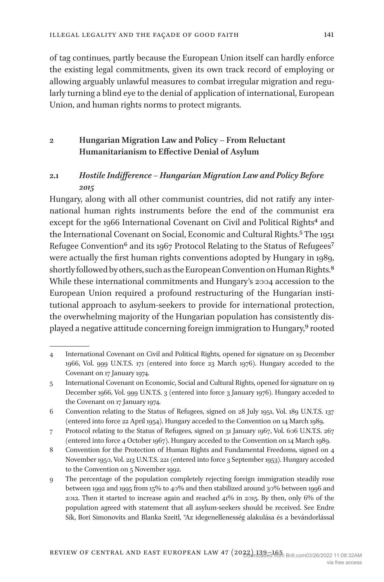of tag continues, partly because the European Union itself can hardly enforce the existing legal commitments, given its own track record of employing or allowing arguably unlawful measures to combat irregular migration and regularly turning a blind eye to the denial of application of international, European Union, and human rights norms to protect migrants.

# **2 Hungarian Migration Law and Policy – From Reluctant Humanitarianism to Effective Denial of Asylum**

# **2.1** *Hostile Indifference – Hungarian Migration Law and Policy Before 2015*

Hungary, along with all other communist countries, did not ratify any international human rights instruments before the end of the communist era except for the 1966 International Covenant on Civil and Political Rights<sup>4</sup> and the International Covenant on Social, Economic and Cultural Rights.<sup>5</sup> The 1951 Refugee Convention<sup>6</sup> and its 1967 Protocol Relating to the Status of Refugees<sup>7</sup> were actually the first human rights conventions adopted by Hungary in 1989, shortly followed by others, such as the European Convention on Human Rights.<sup>[8](#page-2-4)</sup> While these international commitments and Hungary's 2004 accession to the European Union required a profound restructuring of the Hungarian institutional approach to asylum-seekers to provide for international protection, the overwhelming majority of the Hungarian population has consistently displayed a negative attitude concerning foreign immigration to Hungary[,9](#page-2-5) rooted

<span id="page-2-0"></span><sup>4</sup> International Covenant on Civil and Political Rights, opened for signature on 19 December 1966, Vol. 999 U.N.T.S. 171 (entered into force 23 March 1976). Hungary acceded to the Covenant on 17 January 1974.

<span id="page-2-1"></span><sup>5</sup> International Covenant on Economic, Social and Cultural Rights, opened for signature on 19 December 1966, Vol. 999 U.N.T.S. 3 (entered into force 3 January 1976). Hungary acceded to the Covenant on 17 January 1974.

<span id="page-2-2"></span><sup>6</sup> Convention relating to the Status of Refugees, signed on 28 July 1951, Vol. 189 U.N.T.S. 137 (entered into force 22 April 1954). Hungary acceded to the Convention on 14 March 1989.

<span id="page-2-3"></span><sup>7</sup> Protocol relating to the Status of Refugees, signed on 31 January 1967, Vol. 606 U.N.T.S. 267 (entered into force 4 October 1967). Hungary acceded to the Convention on 14 March 1989.

<span id="page-2-4"></span><sup>8</sup> Convention for the Protection of Human Rights and Fundamental Freedoms, signed on 4 November 1950, Vol. 213 U.N.T.S. 221 (entered into force 3 September 1953). Hungary acceded to the Convention on 5 November 1992.

<span id="page-2-5"></span><sup>9</sup> The percentage of the population completely rejecting foreign immigration steadily rose between 1992 and 1995 from 15% to 40% and then stabilized around 30% between 1996 and 2012. Then it started to increase again and reached 41% in 2015. By then, only 6% of the population agreed with statement that all asylum-seekers should be received. See Endre Sík, Bori Simonovits and Blanka Szeitl, "Az idegenellenesség alakulása és a bevándorlással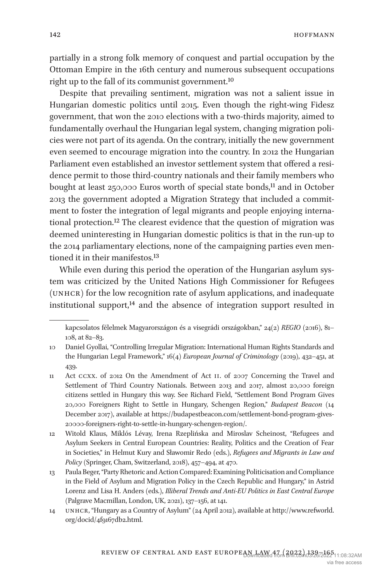partially in a strong folk memory of conquest and partial occupation by the Ottoman Empire in the 16th century and numerous subsequent occupations right up to the fall of its communist government.[10](#page-3-0)

Despite that prevailing sentiment, migration was not a salient issue in Hungarian domestic politics until 2015. Even though the right-wing Fidesz government, that won the 2010 elections with a two-thirds majority, aimed to fundamentally overhaul the Hungarian legal system, changing migration policies were not part of its agenda. On the contrary, initially the new government even seemed to encourage migration into the country. In 2012 the Hungarian Parliament even established an investor settlement system that offered a residence permit to those third-country nationals and their family members who bought at least 250,000 Euros worth of special state bonds,[11](#page-3-1) and in October 2013 the government adopted a Migration Strategy that included a commitment to foster the integration of legal migrants and people enjoying international protection[.12](#page-3-2) The clearest evidence that the question of migration was deemed uninteresting in Hungarian domestic politics is that in the run-up to the 2014 parliamentary elections, none of the campaigning parties even mentioned it in their manifestos.[13](#page-3-3)

While even during this period the operation of the Hungarian asylum system was criticized by the United Nations High Commissioner for Refugees (unhcr) for the low recognition rate of asylum applications, and inadequate institutional support, $14$  and the absence of integration support resulted in

kapcsolatos félelmek Magyarországon és a visegrádi országokban," 24(2) *REGIO* (2016), 81– 108, at 82–83.

<span id="page-3-0"></span><sup>10</sup> Daniel Gyollai, "Controlling Irregular Migration: International Human Rights Standards and the Hungarian Legal Framework," 16(4) *European Journal of Criminology* (2019), 432–451, at 439.

<span id="page-3-1"></span><sup>11</sup> Act ccxx. of 2012 On the Amendment of Act ii. of 2007 Concerning the Travel and Settlement of Third Country Nationals. Between 2013 and 2017, almost 20,000 foreign citizens settled in Hungary this way. See Richard Field, "Settlement Bond Program Gives 20,000 Foreigners Right to Settle in Hungary, Schengen Region," *Budapest Beacon* (14 December 2017), available at [https://budapestbeacon.com/settlement-bond-program-gives-](https://budapestbeacon.com/settlement-bond-program-gives-20000-foreigners-right-to-settle-in-hungary-schengen-region/)[20000-foreigners-right-to-settle-in-hungary-schengen-region/.](https://budapestbeacon.com/settlement-bond-program-gives-20000-foreigners-right-to-settle-in-hungary-schengen-region/)

<span id="page-3-2"></span><sup>12</sup> Witold Klaus, Miklós Lévay, Irena Rzeplińska and Miroslav Scheinost, "Refugees and Asylum Seekers in Central European Countries: Reality, Politics and the Creation of Fear in Societies," in Helmut Kury and Sławomir Redo (eds.), *Refugees and Migrants in Law and Policy* (Springer, Cham, Switzerland, 2018), 457–494, at 470.

<span id="page-3-3"></span><sup>13</sup> Paula Beger, "Party Rhetoric and Action Compared: Examining Politicisation and Compliance in the Field of Asylum and Migration Policy in the Czech Republic and Hungary," in Astrid Lorenz and Lisa H. Anders (eds.), *Illiberal Trends and Anti-EU Politics in East Central Europe* (Palgrave Macmillan, London, UK, 2021), 137–156, at 141.

<span id="page-3-4"></span><sup>14</sup> unhcr, "Hungary as a Country of Asylum" (24 April 2012), available at [http://www.refworld.](http://www.refworld.org/docid/4f9167db2.html) [org/docid/4f9167db2.html.](http://www.refworld.org/docid/4f9167db2.html)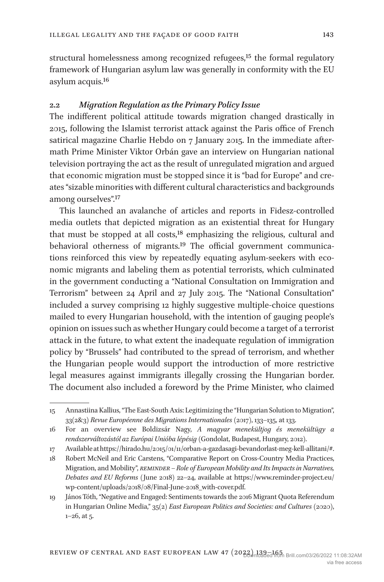structural homelessness among recognized refugees,<sup>15</sup> the formal regulatory framework of Hungarian asylum law was generally in conformity with the EU asylum acquis[.16](#page-4-1)

#### **2.2** *Migration Regulation as the Primary Policy Issue*

The indifferent political attitude towards migration changed drastically in 2015, following the Islamist terrorist attack against the Paris office of French satirical magazine Charlie Hebdo on 7 January 2015. In the immediate aftermath Prime Minister Viktor Orbán gave an interview on Hungarian national television portraying the act as the result of unregulated migration and argued that economic migration must be stopped since it is "bad for Europe" and creates "sizable minorities with different cultural characteristics and backgrounds among ourselves".[17](#page-4-2)

This launched an avalanche of articles and reports in Fidesz-controlled media outlets that depicted migration as an existential threat for Hungary that must be stopped at all costs,<sup>18</sup> emphasizing the religious, cultural and behavioral otherness of migrants[.19](#page-4-4) The official government communications reinforced this view by repeatedly equating asylum-seekers with economic migrants and labeling them as potential terrorists, which culminated in the government conducting a "National Consultation on Immigration and Terrorism" between 24 April and 27 July 2015. The "National Consultation" included a survey comprising 12 highly suggestive multiple-choice questions mailed to every Hungarian household, with the intention of gauging people's opinion on issues such as whether Hungary could become a target of a terrorist attack in the future, to what extent the inadequate regulation of immigration policy by "Brussels" had contributed to the spread of terrorism, and whether the Hungarian people would support the introduction of more restrictive legal measures against immigrants illegally crossing the Hungarian border. The document also included a foreword by the Prime Minister, who claimed

<span id="page-4-0"></span><sup>15</sup> Annastiina Kallius, "The East-South Axis: Legitimizing the "Hungarian Solution to Migration", 33(2&3) *Revue Européenne des Migrations Internationales* (2017), 133–135, at 133.

<span id="page-4-1"></span><sup>16</sup> For an overview see Boldizsár Nagy, *A magyar menekültjog és menekültügy a rendszerváltozástól az Európai Unióba lépésig* (Gondolat, Budapest, Hungary, 2012).

<span id="page-4-2"></span><sup>17</sup> Available at [https://hirado.hu/2015/01/11/orban-a-gazdasagi-bevandorlast-meg-kell-allitani/#.](https://hirado.hu/2015/01/11/orban-a-gazdasagi-bevandorlast-meg-kell-allitani/#)

<span id="page-4-3"></span><sup>18</sup> Robert McNeil and Eric Carstens, "Comparative Report on Cross-Country Media Practices, Migration, and Mobility", *REMINDER – Role of European Mobility and Its Impacts in Narratives*, *Debates and EU Reforms* (June 2018) 22–24, available at [https://www.reminder-project.eu/](https://www.reminder-project.eu/wp-content/uploads/2018/08/Final-June-2018_with-cover.pdf) [wp-content/uploads/2018/08/Final-June-2018\\_with-cover.pdf.](https://www.reminder-project.eu/wp-content/uploads/2018/08/Final-June-2018_with-cover.pdf)

<span id="page-4-4"></span><sup>19</sup> János Tóth, "Negative and Engaged: Sentiments towards the 2016 Migrant Quota Referendum in Hungarian Online Media," 35(2) *East European Politics and Societies: and Cultures* (2020), 1–26, at 5.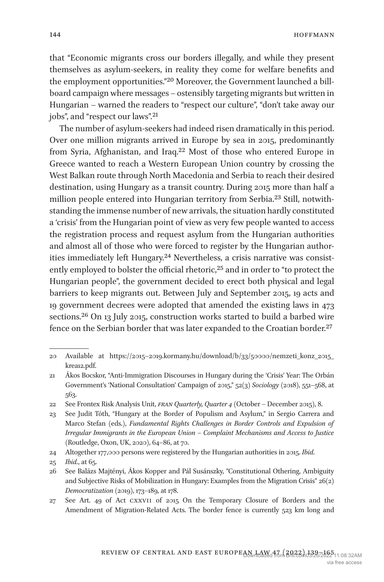that "Economic migrants cross our borders illegally, and while they present themselves as asylum-seekers, in reality they come for welfare benefits and the employment opportunities.["20](#page-5-0) Moreover, the Government launched a billboard campaign where messages – ostensibly targeting migrants but written in Hungarian – warned the readers to "respect our culture", "don't take away our jobs", and "respect our laws"[.21](#page-5-1)

The number of asylum-seekers had indeed risen dramatically in this period. Over one million migrants arrived in Europe by sea in 2015, predominantly from Syria, Afghanistan, and Iraq[.22](#page-5-2) Most of those who entered Europe in Greece wanted to reach a Western European Union country by crossing the West Balkan route through North Macedonia and Serbia to reach their desired destination, using Hungary as a transit country. During 2015 more than half a million people entered into Hungarian territory from Serbia[.23](#page-5-3) Still, notwithstanding the immense number of new arrivals, the situation hardly constituted a 'crisis' from the Hungarian point of view as very few people wanted to access the registration process and request asylum from the Hungarian authorities and almost all of those who were forced to register by the Hungarian authorities immediately left Hungary.<sup>24</sup> Nevertheless, a crisis narrative was consistently employed to bolster the official rhetoric,<sup>25</sup> and in order to "to protect the Hungarian people", the government decided to erect both physical and legal barriers to keep migrants out. Between July and September 2015, 19 acts and 19 government decrees were adopted that amended the existing laws in 473 sections[.26](#page-5-6) On 13 July 2015, construction works started to build a barbed wire fence on the Serbian border that was later expanded to the Croatian border.<sup>27</sup>

<span id="page-5-0"></span><sup>20</sup> Available at [https://2015–](https://2015)2019.kormany.hu/download/b/33/50000/nemzeti\_konz\_2015\_ krea12.pdf.

<span id="page-5-1"></span><sup>21</sup> Ákos Bocskor, "Anti-Immigration Discourses in Hungary during the 'Crisis' Year: The Orbán Government's 'National Consultation' Campaign of 2015," 52(3) *Sociology* (2018), 551–568, at 563.

<span id="page-5-2"></span><sup>22</sup> See Frontex Risk Analysis Unit, *fran Quarterly, Quarter 4* (October – December 2015), 8.

<span id="page-5-3"></span><sup>23</sup> See Judit Tóth, "Hungary at the Border of Populism and Asylum," in Sergio Carrera and Marco Stefan (eds.), *Fundamental Rights Challenges in Border Controls and Expulsion of Irregular Immigrants in the European Union – Complaint Mechanisms and Access to Justice* (Routledge, Oxon, UK, 2020), 64–86, at 70.

<span id="page-5-4"></span><sup>24</sup> Altogether 177,000 persons were registered by the Hungarian authorities in 2015. *Ibid*.

<span id="page-5-5"></span><sup>25</sup> *Ibid*., at 65.

<span id="page-5-6"></span><sup>26</sup> See Balázs Majtényi, Ákos Kopper and Pál Susánszky, "Constitutional Othering, Ambiguity and Subjective Risks of Mobilization in Hungary: Examples from the Migration Crisis" 26(2) *Democratization* (2019), 173–189, at 178.

<span id="page-5-7"></span><sup>27</sup> See Art. 49 of Act cxxvii of 2015 On the Temporary Closure of Borders and the Amendment of Migration-Related Acts. The border fence is currently 523 km long and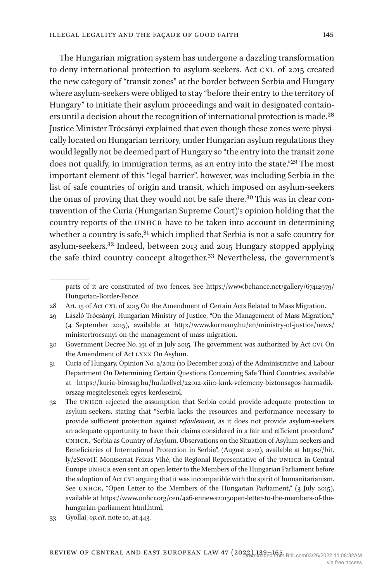The Hungarian migration system has undergone a dazzling transformation to deny international protection to asylum-seekers. Act CXL of 2015 created the new category of "transit zones" at the border between Serbia and Hungary where asylum-seekers were obliged to stay "before their entry to the territory of Hungary" to initiate their asylum proceedings and wait in designated containers until a decision about the recognition of international protection is made.[28](#page-6-0) Justice Minister Trócsányi explained that even though these zones were physically located on Hungarian territory, under Hungarian asylum regulations they would legally not be deemed part of Hungary so "the entry into the transit zone does not qualify, in immigration terms, as an entry into the state."[29](#page-6-1) The most important element of this "legal barrier", however, was including Serbia in the list of safe countries of origin and transit, which imposed on asylum-seekers the onus of proving that they would not be safe there.<sup>30</sup> This was in clear contravention of the Curia (Hungarian Supreme Court)'s opinion holding that the country reports of the unhcr have to be taken into account in determining whether a country is safe,<sup>31</sup> which implied that Serbia is not a safe country for asylum-seekers.[32](#page-6-4) Indeed, between 2013 and 2015 Hungary stopped applying the safe third country concept altogether.<sup>[33](#page-6-5)</sup> Nevertheless, the government's

parts of it are constituted of two fences. See [https://www.behance.net/gallery/67412979/](https://www.behance.net/gallery/67412979/Hungarian-Border-Fence) [Hungarian-Border-Fence](https://www.behance.net/gallery/67412979/Hungarian-Border-Fence).

<span id="page-6-0"></span><sup>28</sup> Art. 15 of Act cxl of 2015 On the Amendment of Certain Acts Related to Mass Migration.

<span id="page-6-1"></span><sup>29</sup> László Trócsányi, Hungarian Ministry of Justice, "On the Management of Mass Migration," (4 September 2015), available at [http://www.kormany.hu/en/ministry-of-justice/news/](http://www.kormany.hu/en/ministry-of-justice/news/ministertrocsanyi-on-the-management-of-mass-migration) [ministertrocsanyi-on-the-management-of-mass-migration.](http://www.kormany.hu/en/ministry-of-justice/news/ministertrocsanyi-on-the-management-of-mass-migration)

<span id="page-6-2"></span><sup>30</sup> Government Decree No. 191 of 21 July 2015. The government was authorized by Act cvi On the Amendment of Act lxxx On Asylum.

<span id="page-6-3"></span><sup>31</sup> Curia of Hungary, Opinion No. 2/2012 (10 December 2012) of the Administrative and Labour Department On Determining Certain Questions Concerning Safe Third Countries, available at [https://kuria-birosag.hu/hu/kollvel/22012-xii10-kmk-velemeny-biztonsagos-harmadik](https://kuria-birosag.hu/hu/kollvel/22012-xii10-kmk-velemeny-biztonsagos-harmadik-orszag-megitelesenek-egyes-kerdeseirol)[orszag-megitelesenek-egyes-kerdeseirol](https://kuria-birosag.hu/hu/kollvel/22012-xii10-kmk-velemeny-biztonsagos-harmadik-orszag-megitelesenek-egyes-kerdeseirol).

<span id="page-6-4"></span><sup>32</sup> The unhcr rejected the assumption that Serbia could provide adequate protection to asylum-seekers, stating that "Serbia lacks the resources and performance necessary to provide sufficient protection against *refoulement*, as it does not provide asylum-seekers an adequate opportunity to have their claims considered in a fair and efficient procedure." unhcr, "Serbia as Country of Asylum. Observations on the Situation of Asylum-seekers and Beneficiaries of International Protection in Serbia", (August 2012), available at [https://bit.](https://bit.ly/2SevotT) [ly/2SevotT](https://bit.ly/2SevotT). Montserrat Feixas Vihé, the Regional Representative of the UNHCR in Central Europe UNHCR even sent an open letter to the Members of the Hungarian Parliament before the adoption of Act cvi arguing that it was incompatible with the spirit of humanitarianism. See UNHCR, "Open Letter to the Members of the Hungarian Parliament,"  $(3 \text{ July 2015})$ , available at [https://www.unhcr.org/ceu/426-ennews2015open-letter-to-the-members-of-the](https://www.unhcr.org/ceu/426-ennews2015open-letter-to-the-members-of-the-hungarian-parliament-html.html)[hungarian-parliament-html.html.](https://www.unhcr.org/ceu/426-ennews2015open-letter-to-the-members-of-the-hungarian-parliament-html.html)

<span id="page-6-5"></span><sup>33</sup> Gyollai, *op.cit*. note 10, at 443.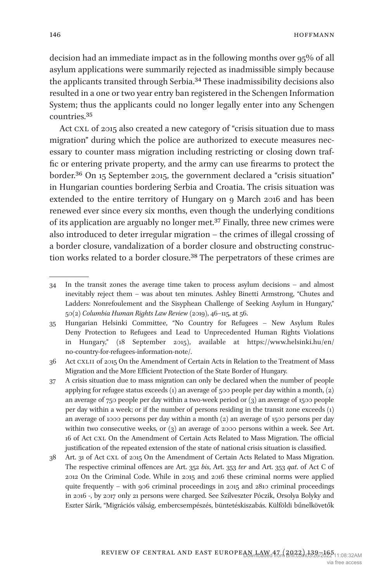decision had an immediate impact as in the following months over 95% of all asylum applications were summarily rejected as inadmissible simply because the applicants transited through Serbia.[34](#page-7-0) These inadmissibility decisions also resulted in a one or two year entry ban registered in the Schengen Information System; thus the applicants could no longer legally enter into any Schengen countries[.35](#page-7-1)

Act CXL of 2015 also created a new category of "crisis situation due to mass migration" during which the police are authorized to execute measures necessary to counter mass migration including restricting or closing down traffic or entering private property, and the army can use firearms to protect the border[.36](#page-7-2) On 15 September 2015, the government declared a "crisis situation" in Hungarian counties bordering Serbia and Croatia. The crisis situation was extended to the entire territory of Hungary on 9 March 2016 and has been renewed ever since every six months, even though the underlying conditions of its application are arguably no longer met[.37](#page-7-3) Finally, three new crimes were also introduced to deter irregular migration – the crimes of illegal crossing of a border closure, vandalization of a border closure and obstructing construction works related to a border closure[.38](#page-7-4) The perpetrators of these crimes are

<span id="page-7-0"></span><sup>34</sup> In the transit zones the average time taken to process asylum decisions – and almost inevitably reject them – was about ten minutes. Ashley Binetti Armstrong, "Chutes and Ladders: Nonrefoulement and the Sisyphean Challenge of Seeking Asylum in Hungary," 50(2) *Columbia Human Rights Law Review* (2019), 46–115, at 56.

<span id="page-7-1"></span><sup>35</sup> Hungarian Helsinki Committee, "No Country for Refugees – New Asylum Rules Deny Protection to Refugees and Lead to Unprecedented Human Rights Violations in Hungary," (18 September 2015), available at [https://www.helsinki.hu/en/](https://www.helsinki.hu/en/no-country-for-refugees-information-note/) [no-country-for-refugees-information-note/](https://www.helsinki.hu/en/no-country-for-refugees-information-note/).

<span id="page-7-2"></span><sup>36</sup> Act cxlii of 2015 On the Amendment of Certain Acts in Relation to the Treatment of Mass Migration and the More Efficient Protection of the State Border of Hungary.

<span id="page-7-3"></span><sup>37</sup> A crisis situation due to mass migration can only be declared when the number of people applying for refugee status exceeds  $(1)$  an average of 500 people per day within a month,  $(2)$ an average of 750 people per day within a two-week period or (3) an average of 1500 people per day within a week; or if the number of persons residing in the transit zone exceeds (1) an average of 1000 persons per day within a month (2) an average of 1500 persons per day within two consecutive weeks, or (3) an average of 2000 persons within a week. See Art. 16 of Act cxl On the Amendment of Certain Acts Related to Mass Migration. The official justification of the repeated extension of the state of national crisis situation is classified.

<span id="page-7-4"></span><sup>38</sup> Art. 31 of Act cxl of 2015 On the Amendment of Certain Acts Related to Mass Migration. The respective criminal offences are Art. 352 *bis*, Art. 353 *ter* and Art. 353 *qat*. of Act C of 2012 On the Criminal Code. While in 2015 and 2016 these criminal norms were applied quite frequently – with 906 criminal proceedings in 2015 and 2810 criminal proceedings in 2016 -, by 2017 only 21 persons were charged. See Szilveszter Póczik, Orsolya Bolyky and Eszter Sárik, "Migrációs válság, embercsempészés, büntetéskiszabás. Külföldi bűnelkövetők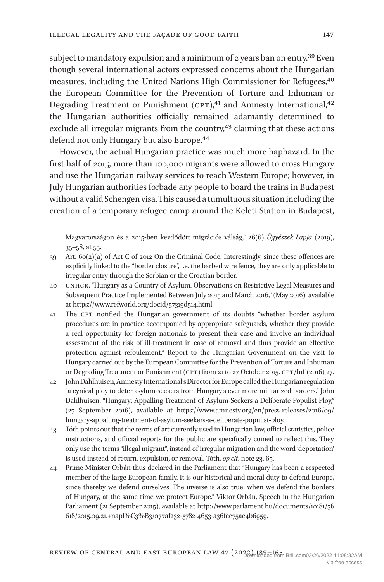subject to mandatory expulsion and a minimum of 2 years ban on entry.<sup>[39](#page-8-0)</sup> Even though several international actors expressed concerns about the Hungarian measures, including the United Nations High Commissioner for Refugees, 40 the European Committee for the Prevention of Torture and Inhuman or Degrading Treatment or Punishment (CPT),<sup>[41](#page-8-2)</sup> and Amnesty International,<sup>[42](#page-8-3)</sup> the Hungarian authorities officially remained adamantly determined to exclude all irregular migrants from the country,<sup>43</sup> claiming that these actions defend not only Hungary but also Europe.[44](#page-8-5)

However, the actual Hungarian practice was much more haphazard. In the first half of 2015, more than 100,000 migrants were allowed to cross Hungary and use the Hungarian railway services to reach Western Europe; however, in July Hungarian authorities forbade any people to board the trains in Budapest without a valid Schengen visa. This caused a tumultuous situation including the creation of a temporary refugee camp around the Keleti Station in Budapest,

<span id="page-8-2"></span>41 The cpt notified the Hungarian government of its doubts "whether border asylum procedures are in practice accompanied by appropriate safeguards, whether they provide a real opportunity for foreign nationals to present their case and involve an individual assessment of the risk of ill-treatment in case of removal and thus provide an effective protection against refoulement." Report to the Hungarian Government on the visit to Hungary carried out by the European Committee for the Prevention of Torture and Inhuman or Degrading Treatment or Punishment (CPT) from 21 to 27 October 2015. CPT/Inf (2016) 27.

<span id="page-8-3"></span>42 John Dahlhuisen, Amnesty International's Director for Europe called the Hungarian regulation "a cynical ploy to deter asylum-seekers from Hungary's ever more militarized borders." John Dahlhuisen, "Hungary: Appalling Treatment of Asylum-Seekers a Deliberate Populist Ploy," (27 September 2016), available at [https://www.amnesty.org/en/press-releases/2016/09/](https://www.amnesty.org/en/press-releases/2016/09/hungary-appalling-treatment-of-asylum-seekers-a-deliberate-populist-ploy) [hungary-appalling-treatment-of-asylum-seekers-a-deliberate-populist-ploy](https://www.amnesty.org/en/press-releases/2016/09/hungary-appalling-treatment-of-asylum-seekers-a-deliberate-populist-ploy).

- <span id="page-8-4"></span>43 Tóth points out that the terms of art currently used in Hungarian law, official statistics, police instructions, and official reports for the public are specifically coined to reflect this. They only use the terms "illegal migrant", instead of irregular migration and the word 'deportation' is used instead of return, expulsion, or removal. Tóth, *op.cit*. note 23, 65.
- <span id="page-8-5"></span>44 Prime Minister Orbán thus declared in the Parliament that "Hungary has been a respected member of the large European family. It is our historical and moral duty to defend Europe, since thereby we defend ourselves. The inverse is also true: when we defend the borders of Hungary, at the same time we protect Europe." Viktor Orbán, Speech in the Hungarian Parliament (21 September 2015), available at [http://www.parlament.hu/documents/10181/56](http://www.parlament.hu/documents/10181/56618/2015.09.21.+napl%C3%B3/077af232-5782-4653-a36fee75ae4b6959) [618/2015.09.21.+napl%C3%B3/077af232-5782-4653-a36fee75ae4b6959](http://www.parlament.hu/documents/10181/56618/2015.09.21.+napl%C3%B3/077af232-5782-4653-a36fee75ae4b6959).

Magyarországon és a 2015-ben kezdődött migrációs válság," 26(6) *Ügyészek Lapja* (2019), 35–58, at 55.

<span id="page-8-0"></span><sup>39</sup> Art. 60(2)(a) of Act C of 2012 On the Criminal Code. Interestingly, since these offences are explicitly linked to the "border closure", i.e. the barbed wire fence, they are only applicable to irregular entry through the Serbian or the Croatian border.

<span id="page-8-1"></span><sup>40</sup> unhcr, "Hungary as a Country of Asylum. Observations on Restrictive Legal Measures and Subsequent Practice Implemented Between July 2015 and March 2016," (May 2016), available at [https://www.refworld.org/docid/57319d514.html.](https://www.refworld.org/docid/57319d514.html)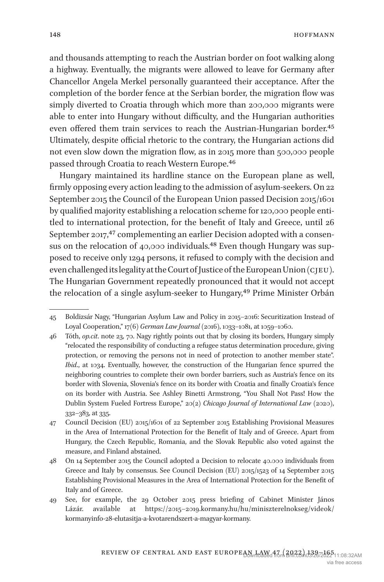and thousands attempting to reach the Austrian border on foot walking along a highway. Eventually, the migrants were allowed to leave for Germany after Chancellor Angela Merkel personally guaranteed their acceptance. After the completion of the border fence at the Serbian border, the migration flow was simply diverted to Croatia through which more than 200,000 migrants were able to enter into Hungary without difficulty, and the Hungarian authorities even offered them train services to reach the Austrian-Hungarian border.<sup>[45](#page-9-0)</sup> Ultimately, despite official rhetoric to the contrary, the Hungarian actions did not even slow down the migration flow, as in 2015 more than 500,000 people passed through Croatia to reach Western Europe.[46](#page-9-1)

Hungary maintained its hardline stance on the European plane as well, firmly opposing every action leading to the admission of asylum-seekers. On 22 September 2015 the Council of the European Union passed Decision 2015/1601 by qualified majority establishing a relocation scheme for 120,000 people entitled to international protection, for the benefit of Italy and Greece, until 26 September 2017,<sup>[47](#page-9-2)</sup> complementing an earlier Decision adopted with a consensus on the relocation of 40,000 individuals.<sup>48</sup> Even though Hungary was supposed to receive only 1294 persons, it refused to comply with the decision and even challenged its legality at the Court of Justice of the European Union (cjeu). The Hungarian Government repeatedly pronounced that it would not accept the relocation of a single asylum-seeker to Hungary,<sup>49</sup> Prime Minister Orbán

- <span id="page-9-1"></span>46 Tóth, *op.cit*. note 23, 70. Nagy rightly points out that by closing its borders, Hungary simply "relocated the responsibility of conducting a refugee status determination procedure, giving protection, or removing the persons not in need of protection to another member state". *Ibid*., at 1034. Eventually, however, the construction of the Hungarian fence spurred the neighboring countries to complete their own border barriers, such as Austria's fence on its border with Slovenia, Slovenia's fence on its border with Croatia and finally Croatia's fence on its border with Austria. See Ashley Binetti Armstrong, "You Shall Not Pass! How the Dublin System Fueled Fortress Europe," 20(2) *Chicago Journal of International Law* (2020), 332–383, at 335.
- <span id="page-9-2"></span>47 Council Decision (EU) 2015/1601 of 22 September 2015 Establishing Provisional Measures in the Area of International Protection for the Benefit of Italy and of Greece. Apart from Hungary, the Czech Republic, Romania, and the Slovak Republic also voted against the measure, and Finland abstained.
- <span id="page-9-3"></span>48 On 14 September 2015 the Council adopted a Decision to relocate 40.000 individuals from Greece and Italy by consensus. See Council Decision (EU) 2015/1523 of 14 September 2015 Establishing Provisional Measures in the Area of International Protection for the Benefit of Italy and of Greece.
- <span id="page-9-4"></span>49 See, for example, the 29 October 2015 press briefing of Cabinet Minister János Lázár. available at [https://2015–2019.kormany.hu/hu/miniszterelnokseg/videok/](https://2015–2019.kormany.hu/hu/miniszterelnokseg/videok/kormanyinfo-28-elutasitja-a-kvotarendszert-a-magyar-kormany) [kormanyinfo-28-elutasitja-a-kvotarendszert-a-magyar-kormany](https://2015–2019.kormany.hu/hu/miniszterelnokseg/videok/kormanyinfo-28-elutasitja-a-kvotarendszert-a-magyar-kormany).

<span id="page-9-0"></span><sup>45</sup> Boldizsár Nagy, "Hungarian Asylum Law and Policy in 2015–2016: Securitization Instead of Loyal Cooperation," 17(6) *German Law Journal* (2016), 1033–1081, at 1059–1060.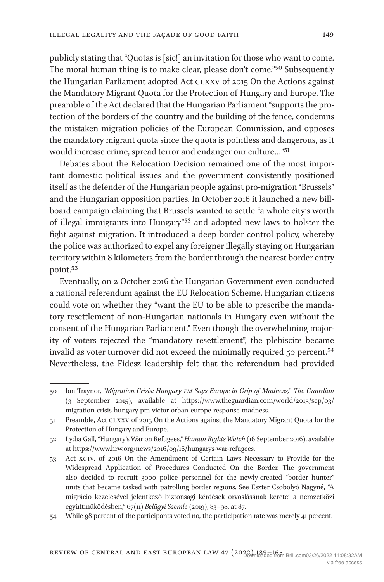publicly stating that "Quotas is [sic!] an invitation for those who want to come. The moral human thing is to make clear, please don't come.["50](#page-10-0) Subsequently the Hungarian Parliament adopted Act CLXXV of 2015 On the Actions against the Mandatory Migrant Quota for the Protection of Hungary and Europe. The preamble of the Act declared that the Hungarian Parliament "supports the protection of the borders of the country and the building of the fence, condemns the mistaken migration policies of the European Commission, and opposes the mandatory migrant quota since the quota is pointless and dangerous, as it would increase crime, spread terror and endanger our culture…["51](#page-10-1)

Debates about the Relocation Decision remained one of the most important domestic political issues and the government consistently positioned itself as the defender of the Hungarian people against pro-migration "Brussels" and the Hungarian opposition parties. In October 2016 it launched a new billboard campaign claiming that Brussels wanted to settle "a whole city's worth of illegal immigrants into Hungary"[52](#page-10-2) and adopted new laws to bolster the fight against migration. It introduced a deep border control policy, whereby the police was authorized to expel any foreigner illegally staying on Hungarian territory within 8 kilometers from the border through the nearest border entry point.[53](#page-10-3)

Eventually, on 2 October 2016 the Hungarian Government even conducted a national referendum against the EU Relocation Scheme. Hungarian citizens could vote on whether they "want the EU to be able to prescribe the mandatory resettlement of non-Hungarian nationals in Hungary even without the consent of the Hungarian Parliament." Even though the overwhelming majority of voters rejected the "mandatory resettlement", the plebiscite became invalid as voter turnover did not exceed the minimally required 50 percent.<sup>[54](#page-10-4)</sup> Nevertheless, the Fidesz leadership felt that the referendum had provided

<span id="page-10-0"></span><sup>50</sup> Ian Traynor, "*Migration Crisis: Hungary pm Says Europe in Grip of Madness,*" *The Guardian* (3 September 2015), available at [https://www.theguardian.com/world/2015/sep/03/](https://www.theguardian.com/world/2015/sep/03/migration-crisis-hungary-pm-victor-orban-europe-response-madness) [migration-crisis-hungary-pm-victor-orban-europe-response-madness.](https://www.theguardian.com/world/2015/sep/03/migration-crisis-hungary-pm-victor-orban-europe-response-madness)

<span id="page-10-1"></span><sup>51</sup> Preamble, Act clxxv of 2015 On the Actions against the Mandatory Migrant Quota for the Protection of Hungary and Europe.

<span id="page-10-2"></span><sup>52</sup> Lydia Gall, "Hungary's War on Refugees," *Human Rights Watch* (16 September 2016), available at<https://www.hrw.org/news/2016/09/16/hungarys-war-refugees>.

<span id="page-10-3"></span><sup>53</sup> Act xciv. of 2016 On the Amendment of Certain Laws Necessary to Provide for the Widespread Application of Procedures Conducted On the Border. The government also decided to recruit 3000 police personnel for the newly-created "border hunter" units that became tasked with patrolling border regions. See Eszter Csobolyó Nagyné, "A migráció kezelésével jelentkező biztonsági kérdések orvoslásának keretei a nemzetközi együttműködésben," 67(11) *Belügyi Szemle* (2019), 83–98, at 87.

<span id="page-10-4"></span><sup>54</sup> While 98 percent of the participants voted no, the participation rate was merely 41 percent.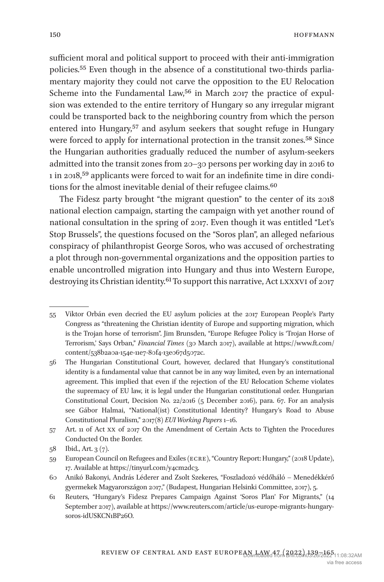sufficient moral and political support to proceed with their anti-immigration policies[.55](#page-11-0) Even though in the absence of a constitutional two-thirds parliamentary majority they could not carve the opposition to the EU Relocation Scheme into the Fundamental Law,<sup>56</sup> in March 2017 the practice of expulsion was extended to the entire territory of Hungary so any irregular migrant could be transported back to the neighboring country from which the person entered into Hungary,<sup>57</sup> and asylum seekers that sought refuge in Hungary were forced to apply for international protection in the transit zones.[58](#page-11-3) Since the Hungarian authorities gradually reduced the number of asylum-seekers admitted into the transit zones from 20–30 persons per working day in 2016 to 1 in 2018,<sup>59</sup> applicants were forced to wait for an indefinite time in dire conditions for the almost inevitable denial of their refugee claims.<sup>60</sup>

The Fidesz party brought "the migrant question" to the center of its 2018 national election campaign, starting the campaign with yet another round of national consultation in the spring of 2017. Even though it was entitled "Let's Stop Brussels", the questions focused on the "Soros plan", an alleged nefarious conspiracy of philanthropist George Soros, who was accused of orchestrating a plot through non-governmental organizations and the opposition parties to enable uncontrolled migration into Hungary and thus into Western Europe, destroying its Christian identity.<sup>[61](#page-11-6)</sup> To support this narrative, Act LXXXVI of 2017

<span id="page-11-0"></span><sup>55</sup> Viktor Orbán even decried the EU asylum policies at the 2017 European People's Party Congress as "threatening the Christian identity of Europe and supporting migration, which is the Trojan horse of terrorism". Jim Brunsden, "Europe Refugee Policy is 'Trojan Horse of Terrorism,' Says Orban," *Financial Times* (30 March 2017), available at [https://www.ft.com/](https://www.ft.com/content/538b2a0a-154e-11e7-80f4-13e067d5072c) [content/538b2a0a-154e-11e7-80f4-13e067d5072c.](https://www.ft.com/content/538b2a0a-154e-11e7-80f4-13e067d5072c)

<span id="page-11-1"></span><sup>56</sup> The Hungarian Constitutional Court, however, declared that Hungary's constitutional identity is a fundamental value that cannot be in any way limited, even by an international agreement. This implied that even if the rejection of the EU Relocation Scheme violates the supremacy of EU law, it is legal under the Hungarian constitutional order. Hungarian Constitutional Court, Decision No. 22/2016 (5 December 2016), para. 67. For an analysis see Gábor Halmai, "National(ist) Constitutional Identity? Hungary's Road to Abuse Constitutional Pluralism," 2017(8) *EUI Working Papers* 1–16.

<span id="page-11-2"></span><sup>57</sup> Art. 11 of Act xx of 2017 On the Amendment of Certain Acts to Tighten the Procedures Conducted On the Border.

<span id="page-11-3"></span><sup>58</sup> Ibid., Art. 3 (7).

<span id="page-11-4"></span><sup>59</sup> European Council on Refugees and Exiles (ecre), "Country Report: Hungary," (2018 Update), 17. Available at <https://tinyurl.com/y4cm2dc3>.

<span id="page-11-5"></span><sup>60</sup> Anikó Bakonyi, András Léderer and Zsolt Szekeres, "Foszladozó védőháló – Menedékkérő gyermekek Magyarországon 2017," (Budapest, Hungarian Helsinki Committee, 2017), 5.

<span id="page-11-6"></span><sup>61</sup> Reuters, "Hungary's Fidesz Prepares Campaign Against 'Soros Plan' For Migrants," (14 September 2017), available at [https://www.reuters.com/article/us-europe-migrants-hungary](https://www.reuters.com/article/us-europe-migrants-hungary-soros-idUSKCN1BP26O)[soros-idUSKCN1BP26O.](https://www.reuters.com/article/us-europe-migrants-hungary-soros-idUSKCN1BP26O)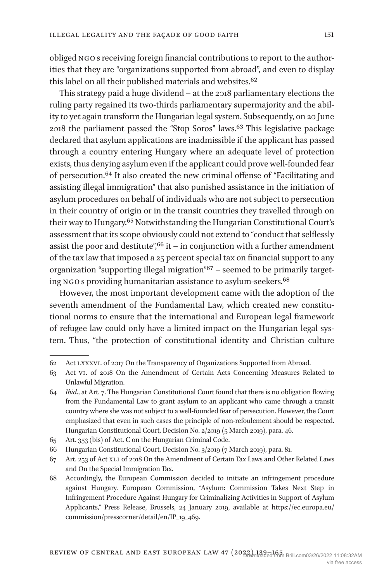obliged ngo s receiving foreign financial contributions to report to the authorities that they are "organizations supported from abroad", and even to display this label on all their published materials and websites.[62](#page-12-0)

This strategy paid a huge dividend – at the 2018 parliamentary elections the ruling party regained its two-thirds parliamentary supermajority and the ability to yet again transform the Hungarian legal system. Subsequently, on 20 June 2018 the parliament passed the "Stop Soros" laws.[63](#page-12-1) This legislative package declared that asylum applications are inadmissible if the applicant has passed through a country entering Hungary where an adequate level of protection exists, thus denying asylum even if the applicant could prove well-founded fear of persecution[.64](#page-12-2) It also created the new criminal offense of "Facilitating and assisting illegal immigration" that also punished assistance in the initiation of asylum procedures on behalf of individuals who are not subject to persecution in their country of origin or in the transit countries they travelled through on their way to Hungary[.65](#page-12-3) Notwithstanding the Hungarian Constitutional Court's assessment that its scope obviously could not extend to "conduct that selflessly assist the poor and destitute",  $66$  it – in conjunction with a further amendment of the tax law that imposed a 25 percent special tax on financial support to any organization "supporting illegal migration"[67](#page-12-5) – seemed to be primarily target-ing NGO<sub>s</sub> providing humanitarian assistance to asylum-seekers.<sup>[68](#page-12-6)</sup>

However, the most important development came with the adoption of the seventh amendment of the Fundamental Law, which created new constitutional norms to ensure that the international and European legal framework of refugee law could only have a limited impact on the Hungarian legal system. Thus, "the protection of constitutional identity and Christian culture

<span id="page-12-0"></span><sup>62</sup> Act lxxxvi. of 2017 On the Transparency of Organizations Supported from Abroad.

<span id="page-12-1"></span><sup>63</sup> Act vi. of 2018 On the Amendment of Certain Acts Concerning Measures Related to Unlawful Migration.

<span id="page-12-2"></span><sup>64</sup> *Ibid*., at Art. 7. The Hungarian Constitutional Court found that there is no obligation flowing from the Fundamental Law to grant asylum to an applicant who came through a transit country where she was not subject to a well-founded fear of persecution. However, the Court emphasized that even in such cases the principle of non-refoulement should be respected. Hungarian Constitutional Court, Decision No. 2/2019 (5 March 2019), para. 46.

<span id="page-12-3"></span><sup>65</sup> Art. 353 (bis) of Act. C on the Hungarian Criminal Code.

<span id="page-12-4"></span><sup>66</sup> Hungarian Constitutional Court, Decision No. 3/2019 (7 March 2019), para. 81.

<span id="page-12-5"></span><sup>67</sup> Art. 253 of Act xli of 2018 On the Amendment of Certain Tax Laws and Other Related Laws and On the Special Immigration Tax.

<span id="page-12-6"></span><sup>68</sup> Accordingly, the European Commission decided to initiate an infringement procedure against Hungary. European Commission, "Asylum: Commission Takes Next Step in Infringement Procedure Against Hungary for Criminalizing Activities in Support of Asylum Applicants," Press Release, Brussels, 24 January 2019, available at [https://ec.europa.eu/](https://ec.europa.eu/commission/presscorner/detail/en/IP_19_469) [commission/presscorner/detail/en/IP\\_19\\_469](https://ec.europa.eu/commission/presscorner/detail/en/IP_19_469).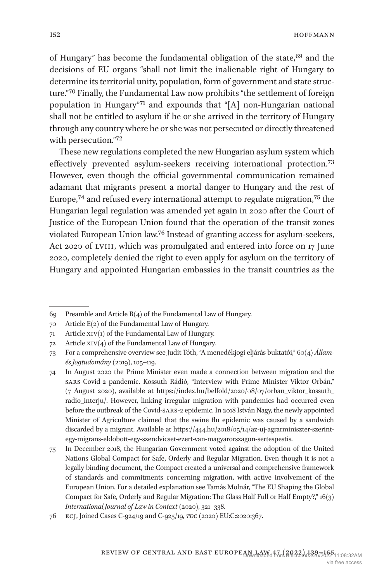of Hungary" has become the fundamental obligation of the state,<sup>69</sup> and the decisions of EU organs "shall not limit the inalienable right of Hungary to determine its territorial unity, population, form of government and state structure."[70](#page-13-1) Finally, the Fundamental Law now prohibits "the settlement of foreign population in Hungary"[71](#page-13-2) and expounds that "[A] non-Hungarian national shall not be entitled to asylum if he or she arrived in the territory of Hungary through any country where he or she was not persecuted or directly threatened with persecution."[72](#page-13-3)

These new regulations completed the new Hungarian asylum system which effectively prevented asylum-seekers receiving international protection[.73](#page-13-4) However, even though the official governmental communication remained adamant that migrants present a mortal danger to Hungary and the rest of Europe[,74](#page-13-5) and refused every international attempt to regulate migration[,75](#page-13-6) the Hungarian legal regulation was amended yet again in 2020 after the Court of Justice of the European Union found that the operation of the transit zones violated European Union law.[76](#page-13-7) Instead of granting access for asylum-seekers, Act 2020 of LVIII, which was promulgated and entered into force on 17 June 2020, completely denied the right to even apply for asylum on the territory of Hungary and appointed Hungarian embassies in the transit countries as the

<span id="page-13-0"></span><sup>69</sup> Preamble and Article  $R(4)$  of the Fundamental Law of Hungary.

<span id="page-13-1"></span><sup>70</sup> Article E(2) of the Fundamental Law of Hungary.

<span id="page-13-2"></span><sup>71</sup> Article  $XY(1)$  of the Fundamental Law of Hungary.

<span id="page-13-3"></span><sup>72</sup> Article  $XY(4)$  of the Fundamental Law of Hungary.

<span id="page-13-4"></span><sup>73</sup> For a comprehensive overview see Judit Tóth, "A menedékjogi eljárás buktatói," 60(4) *Államés Jogtudomány* (2019), 105–119.

<span id="page-13-5"></span><sup>74</sup> In August 2020 the Prime Minister even made a connection between migration and the sars-Covid-2 pandemic. Kossuth Rádió, "Interview with Prime Minister Viktor Orbán," (7 August 2020), available at [https://index.hu/belfold/2020/08/07/orban\\_viktor\\_kossuth\\_](https://index.hu/belfold/2020/08/07/orban_viktor_kossuth_radio_interju/) [radio\\_interju/.](https://index.hu/belfold/2020/08/07/orban_viktor_kossuth_radio_interju/) However, linking irregular migration with pandemics had occurred even before the outbreak of the Covid-sars-2 epidemic. In 2018 István Nagy, the newly appointed Minister of Agriculture claimed that the swine flu epidemic was caused by a sandwich discarded by a migrant. Available at [https://444.hu/2018/05/14/az-uj-agrarminiszter-szerint](https://444.hu/2018/05/14/az-uj-agrarminiszter-szerint-egy-migrans-eldobott-egy-szendvicset-ezert-van-magyarorszagon-sertespestis)[egy-migrans-eldobott-egy-szendvicset-ezert-van-magyarorszagon-sertespestis](https://444.hu/2018/05/14/az-uj-agrarminiszter-szerint-egy-migrans-eldobott-egy-szendvicset-ezert-van-magyarorszagon-sertespestis).

<span id="page-13-6"></span><sup>75</sup> In December 2018, the Hungarian Government voted against the adoption of the United Nations Global Compact for Safe, Orderly and Regular Migration. Even though it is not a legally binding document, the Compact created a universal and comprehensive framework of standards and commitments concerning migration, with active involvement of the European Union. For a detailed explanation see Tamás Molnár, "The EU Shaping the Global Compact for Safe, Orderly and Regular Migration: The Glass Half Full or Half Empty?," 16(3) *International Journal of Law in Context* (2020), 321–338.

<span id="page-13-7"></span><sup>76</sup> ecj, Joined Cases C-924/19 and C-925/19, *tdc* (2020) EU:C:2020:367.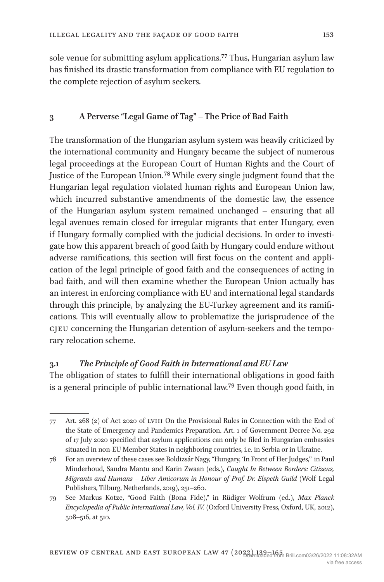sole venue for submitting asylum applications[.77](#page-14-0) Thus, Hungarian asylum law has finished its drastic transformation from compliance with EU regulation to the complete rejection of asylum seekers.

#### **3 A Perverse "Legal Game of Tag" – The Price of Bad Faith**

The transformation of the Hungarian asylum system was heavily criticized by the international community and Hungary became the subject of numerous legal proceedings at the European Court of Human Rights and the Court of Justice of the European Union.[78](#page-14-1) While every single judgment found that the Hungarian legal regulation violated human rights and European Union law, which incurred substantive amendments of the domestic law, the essence of the Hungarian asylum system remained unchanged – ensuring that all legal avenues remain closed for irregular migrants that enter Hungary, even if Hungary formally complied with the judicial decisions. In order to investigate how this apparent breach of good faith by Hungary could endure without adverse ramifications, this section will first focus on the content and application of the legal principle of good faith and the consequences of acting in bad faith, and will then examine whether the European Union actually has an interest in enforcing compliance with EU and international legal standards through this principle, by analyzing the EU-Turkey agreement and its ramifications. This will eventually allow to problematize the jurisprudence of the cjeu concerning the Hungarian detention of asylum-seekers and the temporary relocation scheme.

#### **3.1** *The Principle of Good Faith in International and EU Law*

The obligation of states to fulfill their international obligations in good faith is a general principle of public international law[.79](#page-14-2) Even though good faith, in

<span id="page-14-0"></span><sup>77</sup> Art. 268 (2) of Act 2020 of lviii On the Provisional Rules in Connection with the End of the State of Emergency and Pandemics Preparation. Art. 1 of Government Decree No. 292 of 17 July 2020 specified that asylum applications can only be filed in Hungarian embassies situated in non-EU Member States in neighboring countries, i.e. in Serbia or in Ukraine.

<span id="page-14-1"></span><sup>78</sup> For an overview of these cases see Boldizsár Nagy, "Hungary, 'In Front of Her Judges,'" in Paul Minderhoud, Sandra Mantu and Karin Zwaan (eds.), *Caught In Between Borders: Citizens, Migrants and Humans – Liber Amicorum in Honour of Prof. Dr. Elspeth Guild* (Wolf Legal Publishers, Tilburg, Netherlands, 2019), 251–260.

<span id="page-14-2"></span><sup>79</sup> See Markus Kotze, "Good Faith (Bona Fide)," in Rüdiger Wolfrum (ed.), *Max Planck Encyclopedia of Public International Law, Vol. IV.* (Oxford University Press, Oxford, UK, 2012), 508–516, at 510.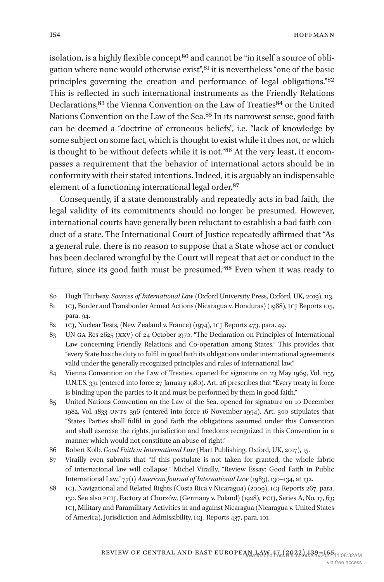isolation, is a highly flexible concept<sup>80</sup> and cannot be "in itself a source of obligation where none would otherwise exist", <sup>81</sup> it is nevertheless "one of the basic principles governing the creation and performance of legal obligations."[82](#page-15-2) This is reflected in such international instruments as the Friendly Relations Declarations,<sup>83</sup> the Vienna Convention on the Law of Treaties<sup>84</sup> or the United Nations Convention on the Law of the Sea[.85](#page-15-5) In its narrowest sense, good faith can be deemed a "doctrine of erroneous beliefs", i.e. "lack of knowledge by some subject on some fact, which is thought to exist while it does not, or which is thought to be without defects while it is not."[86](#page-15-6) At the very least, it encompasses a requirement that the behavior of international actors should be in conformity with their stated intentions. Indeed, it is arguably an indispensable element of a functioning international legal order.<sup>87</sup>

Consequently, if a state demonstrably and repeatedly acts in bad faith, the legal validity of its commitments should no longer be presumed. However, international courts have generally been reluctant to establish a bad faith conduct of a state. The International Court of Justice repeatedly affirmed that "As a general rule, there is no reason to suppose that a State whose act or conduct has been declared wrongful by the Court will repeat that act or conduct in the future, since its good faith must be presumed."[88](#page-15-8) Even when it was ready to

<span id="page-15-0"></span><sup>80</sup> Hugh Thirlway, *Sources of International Law* (Oxford University Press, Oxford, UK, 2019), 113.

<span id="page-15-1"></span><sup>81</sup> icj, Border and Transborder Armed Actions (Nicaragua v. Honduras) (1988), icj Reports 105, para. 94.

<span id="page-15-2"></span><sup>82</sup> icj, Nuclear Tests, (New Zealand v. France) (1974), icj Reports 473, para. 49.

<span id="page-15-3"></span><sup>83</sup> UN ga Res 2625 (xxv) of 24 October 1970, "The Declaration on Principles of International Law concerning Friendly Relations and Co-operation among States." This provides that "every State has the duty to fulfil in good faith its obligations under international agreements valid under the generally recognized principles and rules of international law."

<span id="page-15-4"></span><sup>84</sup> Vienna Convention on the Law of Treaties, opened for signature on 23 May 1969, Vol. 1155 U.N.T.S. 331 (entered into force 27 January 1980). Art. 26 prescribes that "Every treaty in force is binding upon the parties to it and must be performed by them in good faith."

<span id="page-15-5"></span><sup>85</sup> United Nations Convention on the Law of the Sea, opened for signature on 10 December 1982, Vol. 1833 unts 396 (entered into force 16 November 1994). Art. 300 stipulates that "States Parties shall fulfil in good faith the obligations assumed under this Convention and shall exercise the rights, jurisdiction and freedoms recognized in this Convention in a manner which would not constitute an abuse of right."

<span id="page-15-6"></span><sup>86</sup> Robert Kolb, *Good Faith in International Law* (Hart Publishing, Oxford, UK, 2017), 15.

<span id="page-15-7"></span><sup>87</sup> Virailly even submits that "If this postulate is not taken for granted, the whole fabric of international law will collapse." Michel Virailly, "Review Essay: Good Faith in Public International Law," 77(1) *American Journal of International Law* (1983), 130–134, at 132.

<span id="page-15-8"></span><sup>88</sup> icj, Navigational and Related Rights (Costa Rica v Nicaragua) (2009), icj Reports 267, para. 150. See also pcij, Factory at Chorzów, (Germany v. Poland) (1928), pcij, Series A, No. 17, 63; icj, Military and Paramilitary Activities in and against Nicaragua (Nicaragua v. United States of America), Jurisdiction and Admissibility, icj. Reports 437, para. 101.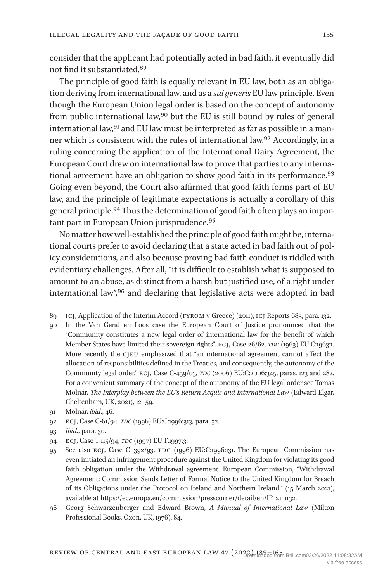consider that the applicant had potentially acted in bad faith, it eventually did not find it substantiated.[89](#page-16-0)

The principle of good faith is equally relevant in EU law, both as an obligation deriving from international law, and as a *sui generis* EU law principle. Even though the European Union legal order is based on the concept of autonomy from public international law,[90](#page-16-1) but the EU is still bound by rules of general international law,[91](#page-16-2) and EU law must be interpreted as far as possible in a manner which is consistent with the rules of international law[.92](#page-16-3) Accordingly, in a ruling concerning the application of the International Dairy Agreement, the European Court drew on international law to prove that parties to any interna-tional agreement have an obligation to show good faith in its performance.<sup>[93](#page-16-4)</sup> Going even beyond, the Court also affirmed that good faith forms part of EU law, and the principle of legitimate expectations is actually a corollary of this general principle.[94](#page-16-5) Thus the determination of good faith often plays an impor-tant part in European Union jurisprudence.<sup>[95](#page-16-6)</sup>

No matter how well-established the principle of good faith might be, international courts prefer to avoid declaring that a state acted in bad faith out of policy considerations, and also because proving bad faith conduct is riddled with evidentiary challenges. After all, "it is difficult to establish what is supposed to amount to an abuse, as distinct from a harsh but justified use, of a right under international law",<sup>96</sup> and declaring that legislative acts were adopted in bad

- <span id="page-16-4"></span>93 *Ibid*., para. 30.
- <span id="page-16-5"></span>94 ECJ, Case T-115/94, *TDC* (1997) EU:T:1997:3.

<span id="page-16-0"></span><sup>89</sup> ICJ, Application of the Interim Accord (FYROM v Greece) (2011), ICJ Reports 685, para. 132.

<span id="page-16-1"></span><sup>90</sup> In the Van Gend en Loos case the European Court of Justice pronounced that the "Community constitutes a new legal order of international law for the benefit of which Member States have limited their sovereign rights". ECJ, Case 26/62, *TDC* (1963) EU:C:1963:1. More recently the cjeu emphasized that "an international agreement cannot affect the allocation of responsibilities defined in the Treaties, and consequently, the autonomy of the Community legal order." ECJ, Case C-459/03, TDC (2006) EU:C:2006:345, paras. 123 and 282. For a convenient summary of the concept of the autonomy of the EU legal order see Tamás Molnár, *The Interplay between the EU's Return Acquis and International Law* (Edward Elgar, Cheltenham, UK, 2021), 12–59.

<span id="page-16-2"></span><sup>91</sup> Molnár, *ibid*., 46.

<span id="page-16-3"></span><sup>92</sup> ecj, Case C-61/94, *tdc* (1996) EU:C:1996:313, para. 52.

<span id="page-16-6"></span><sup>95</sup> See also ECJ, Case C-392/93, TDC (1996) EU:C:1996:131. The European Commission has even initiated an infringement procedure against the United Kingdom for violating its good faith obligation under the Withdrawal agreement. European Commission, "Withdrawal Agreement: Commission Sends Letter of Formal Notice to the United Kingdom for Breach of its Obligations under the Protocol on Ireland and Northern Ireland," (15 March 2021), available at [https://ec.europa.eu/commission/presscorner/detail/en/IP\\_21\\_1132](https://ec.europa.eu/commission/presscorner/detail/en/IP_21_1132).

<span id="page-16-7"></span><sup>96</sup> Georg Schwarzenberger and Edward Brown, *A Manual of International Law* (Milton Professional Books, Oxon, UK, 1976), 84.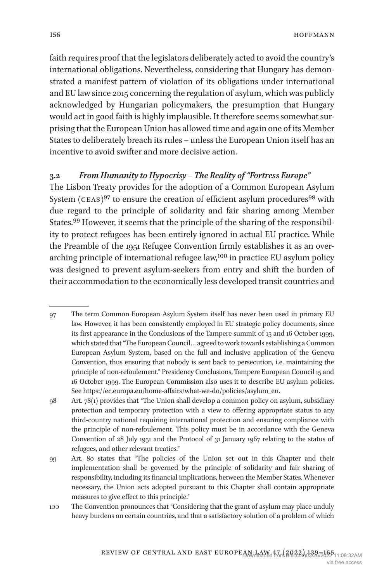faith requires proof that the legislators deliberately acted to avoid the country's international obligations. Nevertheless, considering that Hungary has demonstrated a manifest pattern of violation of its obligations under international and EU law since 2015 concerning the regulation of asylum, which was publicly acknowledged by Hungarian policymakers, the presumption that Hungary would act in good faith is highly implausible. It therefore seems somewhat surprising that the European Union has allowed time and again one of its Member States to deliberately breach its rules – unless the European Union itself has an incentive to avoid swifter and more decisive action.

### **3.2** *From Humanity to Hypocrisy – The Reality of "Fortress Europe"*

The Lisbon Treaty provides for the adoption of a Common European Asylum System  $(CEAS)^{97}$  $(CEAS)^{97}$  $(CEAS)^{97}$  to ensure the creation of efficient asylum procedures<sup>98</sup> with due regard to the principle of solidarity and fair sharing among Member States.[99](#page-17-2) However, it seems that the principle of the sharing of the responsibility to protect refugees has been entirely ignored in actual EU practice. While the Preamble of the 1951 Refugee Convention firmly establishes it as an overarching principle of international refugee law[,100](#page-17-3) in practice EU asylum policy was designed to prevent asylum-seekers from entry and shift the burden of their accommodation to the economically less developed transit countries and

<span id="page-17-0"></span><sup>97</sup> The term Common European Asylum System itself has never been used in primary EU law. However, it has been consistently employed in EU strategic policy documents, since its first appearance in the Conclusions of the Tampere summit of 15 and 16 October 1999, which stated that "The European Council… agreed to work towards establishing a Common European Asylum System, based on the full and inclusive application of the Geneva Convention, thus ensuring that nobody is sent back to persecution, i.e. maintaining the principle of non-refoulement." Presidency Conclusions, Tampere European Council 15 and 16 October 1999. The European Commission also uses it to describe EU asylum policies. See [https://ec.europa.eu/home-affairs/what-we-do/policies/asylum\\_en](https://ec.europa.eu/home-affairs/what-we-do/policies/asylum_en).

<span id="page-17-1"></span><sup>98</sup> Art. 78(1) provides that "The Union shall develop a common policy on asylum, subsidiary protection and temporary protection with a view to offering appropriate status to any third-country national requiring international protection and ensuring compliance with the principle of non-refoulement. This policy must be in accordance with the Geneva Convention of 28 July 1951 and the Protocol of 31 January 1967 relating to the status of refugees, and other relevant treaties."

<span id="page-17-2"></span><sup>99</sup> Art. 80 states that "The policies of the Union set out in this Chapter and their implementation shall be governed by the principle of solidarity and fair sharing of responsibility, including its financial implications, between the Member States. Whenever necessary, the Union acts adopted pursuant to this Chapter shall contain appropriate measures to give effect to this principle."

<span id="page-17-3"></span><sup>100</sup> The Convention pronounces that "Considering that the grant of asylum may place unduly heavy burdens on certain countries, and that a satisfactory solution of a problem of which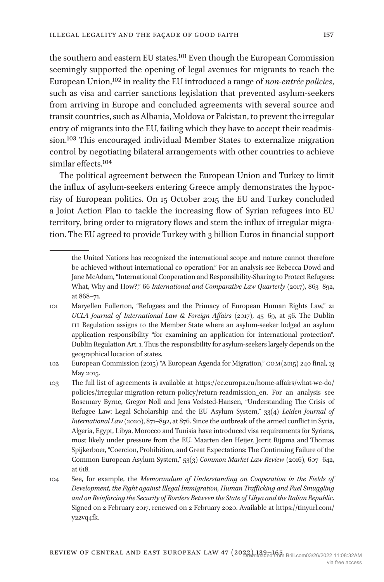the southern and eastern EU states.<sup>101</sup> Even though the European Commission seemingly supported the opening of legal avenues for migrants to reach the European Union[,102](#page-18-1) in reality the EU introduced a range of *non-entrée policies*, such as visa and carrier sanctions legislation that prevented asylum-seekers from arriving in Europe and concluded agreements with several source and transit countries, such as Albania, Moldova or Pakistan, to prevent the irregular entry of migrants into the EU, failing which they have to accept their readmission.[103](#page-18-2) This encouraged individual Member States to externalize migration control by negotiating bilateral arrangements with other countries to achieve similar effects[.104](#page-18-3)

The political agreement between the European Union and Turkey to limit the influx of asylum-seekers entering Greece amply demonstrates the hypocrisy of European politics. On 15 October 2015 the EU and Turkey concluded a Joint Action Plan to tackle the increasing flow of Syrian refugees into EU territory, bring order to migratory flows and stem the influx of irregular migration. The EU agreed to provide Turkey with 3 billion Euros in financial support

the United Nations has recognized the international scope and nature cannot therefore be achieved without international co-operation." For an analysis see Rebecca Dowd and Jane McAdam, "International Cooperation and Responsibility-Sharing to Protect Refugees: What, Why and How?," 66 *International and Comparative Law Quarterly* (2017), 863-892, at 868–71.

<span id="page-18-0"></span><sup>101</sup> Maryellen Fullerton, "Refugees and the Primacy of European Human Rights Law," 21 *UCLA Journal of International Law & Foreign Affairs* (2017), 45–69, at 56. The Dublin III Regulation assigns to the Member State where an asylum-seeker lodged an asylum application responsibility "for examining an application for international protection". Dublin Regulation Art. 1. Thus the responsibility for asylum-seekers largely depends on the geographical location of states.

<span id="page-18-1"></span><sup>102</sup> European Commission (2015) "A European Agenda for Migration," com(2015) 240 final, 13 May 2015.

<span id="page-18-2"></span><sup>103</sup> The full list of agreements is available at [https://ec.europa.eu/home-affairs/what-we-do/](https://ec.europa.eu/home-affairs/what-we-do/policies/irregular-migration-return-policy/return-readmission_en) [policies/irregular-migration-return-policy/return-readmission\\_en](https://ec.europa.eu/home-affairs/what-we-do/policies/irregular-migration-return-policy/return-readmission_en). For an analysis see Rosemary Byrne, Gregor Noll and Jens Vedsted-Hansen, "Understanding The Crisis of Refugee Law: Legal Scholarship and the EU Asylum System," 33(4) *Leiden Journal of International Law* (2020), 871–892, at 876. Since the outbreak of the armed conflict in Syria, Algeria, Egypt, Libya, Morocco and Tunisia have introduced visa requirements for Syrians, most likely under pressure from the EU. Maarten den Heijer, Jorrit Rijpma and Thomas Spijkerboer, "Coercion, Prohibition, and Great Expectations: The Continuing Failure of the Common European Asylum System," 53(3) *Common Market Law Review* (2016), 607–642, at 618.

<span id="page-18-3"></span><sup>104</sup> See, for example, the *Memorandum of Understanding on Cooperation in the Fields of Development, the Fight against Illegal Immigration, Human Trafficking and Fuel Smuggling and on Reinforcing the Security of Borders Between the State of Libya and the Italian Republic*. Signed on 2 February 2017, renewed on 2 February 2020. Available at [https://tinyurl.com/](https://tinyurl.com/y22vq4fk) [y22vq4fk.](https://tinyurl.com/y22vq4fk)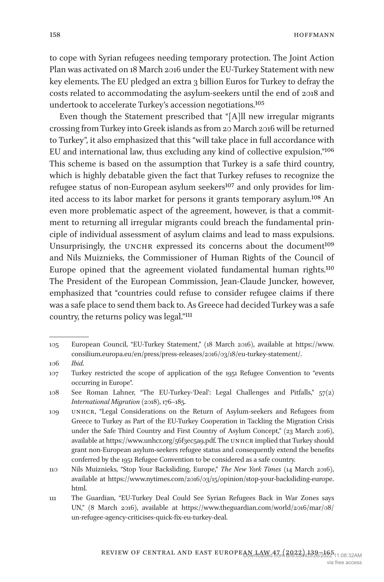to cope with Syrian refugees needing temporary protection. The Joint Action Plan was activated on 18 March 2016 under the EU-Turkey Statement with new key elements. The EU pledged an extra 3 billion Euros for Turkey to defray the costs related to accommodating the asylum-seekers until the end of 2018 and undertook to accelerate Turkey's accession negotiations[.105](#page-19-0)

Even though the Statement prescribed that "[A]ll new irregular migrants crossing from Turkey into Greek islands as from 20 March 2016 will be returned to Turkey", it also emphasized that this "will take place in full accordance with EU and international law, thus excluding any kind of collective expulsion."[106](#page-19-1) This scheme is based on the assumption that Turkey is a safe third country, which is highly debatable given the fact that Turkey refuses to recognize the refugee status of non-European asylum seekers<sup>[107](#page-19-2)</sup> and only provides for limited access to its labor market for persons it grants temporary asylum[.108](#page-19-3) An even more problematic aspect of the agreement, however, is that a commitment to returning all irregular migrants could breach the fundamental principle of individual assessment of asylum claims and lead to mass expulsions. Unsurprisingly, the UNCHR expressed its concerns about the document<sup>[109](#page-19-4)</sup> and Nils Muiznieks, the Commissioner of Human Rights of the Council of Europe opined that the agreement violated fundamental human rights.<sup>110</sup> The President of the European Commission, Jean-Claude Juncker, however, emphasized that "countries could refuse to consider refugee claims if there was a safe place to send them back to. As Greece had decided Turkey was a safe country, the returns policy was legal.["111](#page-19-6)

<span id="page-19-1"></span>106 *Ibid*.

<span id="page-19-0"></span><sup>105</sup> European Council, "EU-Turkey Statement," (18 March 2016), available at [https://www.](https://www.consilium.europa.eu/en/press/press-releases/2016/03/18/eu-turkey-statement/) [consilium.europa.eu/en/press/press-releases/2016/03/18/eu-turkey-statement/.](https://www.consilium.europa.eu/en/press/press-releases/2016/03/18/eu-turkey-statement/)

<span id="page-19-2"></span><sup>107</sup> Turkey restricted the scope of application of the 1951 Refugee Convention to "events occurring in Europe".

<span id="page-19-3"></span><sup>108</sup> See Roman Lahner, "The EU-Turkey-'Deal': Legal Challenges and Pitfalls," 57(2) *International Migration* (2018), 176–185.

<span id="page-19-4"></span><sup>109</sup> unhcr, "Legal Considerations on the Return of Asylum-seekers and Refugees from Greece to Turkey as Part of the EU-Turkey Cooperation in Tackling the Migration Crisis under the Safe Third Country and First Country of Asylum Concept," (23 March 2016), available at<https://www.unhcr.org/56f3ec5a9.pdf>. The UNHCR implied that Turkey should grant non-European asylum-seekers refugee status and consequently extend the benefits conferred by the 1951 Refugee Convention to be considered as a safe country.

<span id="page-19-5"></span><sup>110</sup> Nils Muiznieks, "Stop Your Backsliding, Europe," *The New York Times* (14 March 2016), available at [https://www.nytimes.com/2016/03/15/opinion/stop-your-backsliding-europe.](https://www.nytimes.com/2016/03/15/opinion/stop-your-backsliding-europe.html) [html.](https://www.nytimes.com/2016/03/15/opinion/stop-your-backsliding-europe.html)

<span id="page-19-6"></span><sup>111</sup> The Guardian, "EU-Turkey Deal Could See Syrian Refugees Back in War Zones says UN," (8 March 2016), available at [https://www.theguardian.com/world/2016/mar/08/](https://www.theguardian.com/world/2016/mar/08/un-refugee-agency-criticises-quick-fix-eu-turkey-deal) [un-refugee-agency-criticises-quick-fix-eu-turkey-deal.](https://www.theguardian.com/world/2016/mar/08/un-refugee-agency-criticises-quick-fix-eu-turkey-deal)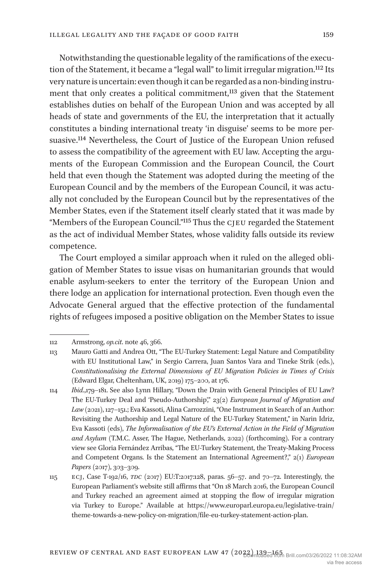Notwithstanding the questionable legality of the ramifications of the execution of the Statement, it became a "legal wall" to limit irregular migration[.112](#page-20-0) Its very nature is uncertain: even though it can be regarded as a non-binding instrument that only creates a political commitment,<sup>113</sup> given that the Statement establishes duties on behalf of the European Union and was accepted by all heads of state and governments of the EU, the interpretation that it actually constitutes a binding international treaty 'in disguise' seems to be more persuasive[.114](#page-20-2) Nevertheless, the Court of Justice of the European Union refused to assess the compatibility of the agreement with EU law. Accepting the arguments of the European Commission and the European Council, the Court held that even though the Statement was adopted during the meeting of the European Council and by the members of the European Council, it was actually not concluded by the European Council but by the representatives of the Member States, even if the Statement itself clearly stated that it was made by "Members of the European Council."<sup>115</sup> Thus the CIEU regarded the Statement as the act of individual Member States, whose validity falls outside its review competence.

The Court employed a similar approach when it ruled on the alleged obligation of Member States to issue visas on humanitarian grounds that would enable asylum-seekers to enter the territory of the European Union and there lodge an application for international protection. Even though even the Advocate General argued that the effective protection of the fundamental rights of refugees imposed a positive obligation on the Member States to issue

<span id="page-20-0"></span><sup>112</sup> Armstrong, *op.cit*. note 46, 366.

<span id="page-20-1"></span><sup>113</sup> Mauro Gatti and Andrea Ott, "The EU-Turkey Statement: Legal Nature and Compatibility with EU Institutional Law," in Sergio Carrera, Juan Santos Vara and Tineke Strik (eds.), *Constitutionalising the External Dimensions of EU Migration Policies in Times of Crisis* (Edward Elgar, Cheltenham, UK, 2019) 175–200, at 176.

<span id="page-20-2"></span><sup>114</sup> *Ibid*.,179–181. See also Lynn Hillary, "Down the Drain with General Principles of EU Law? The EU-Turkey Deal and 'Pseudo-Authorship'," 23(2) *European Journal of Migration and Law* (2021), 127–151.; Eva Kassoti, Alina Carrozzini, "One Instrument in Search of an Author: Revisiting the Authorship and Legal Nature of the EU-Turkey Statement," in Narin Idriz, Eva Kassoti (eds), *The Informalisation of the EU's External Action in the Field of Migration and Asylum* (T.M.C. Asser, The Hague, Netherlands, 2022) (forthcoming). For a contrary view see Gloria Fernández Arribas, "The EU-Turkey Statement, the Treaty-Making Process and Competent Organs. Is the Statement an International Agreement?," 2(1) *European Papers* (2017), 303–309.

<span id="page-20-3"></span><sup>115</sup> ecj, Case T-192/16, *tdc* (2017) EU:T:2017:128, paras. 56–57. and 70–72. Interestingly, the European Parliament's website still affirms that "On 18 March 2016, the European Council and Turkey reached an agreement aimed at stopping the flow of irregular migration via Turkey to Europe." Available at [https://www.europarl.europa.eu/legislative-train/](https://www.europarl.europa.eu/legislative-train/theme-towards-a-new-policy-on-migration/file-eu-turkey-statement-action-plan) [theme-towards-a-new-policy-on-migration/file-eu-turkey-statement-action-plan](https://www.europarl.europa.eu/legislative-train/theme-towards-a-new-policy-on-migration/file-eu-turkey-statement-action-plan).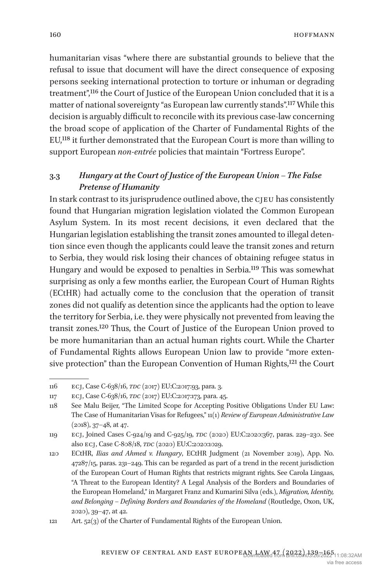humanitarian visas "where there are substantial grounds to believe that the refusal to issue that document will have the direct consequence of exposing persons seeking international protection to torture or inhuman or degrading treatment"[,116](#page-21-0) the Court of Justice of the European Union concluded that it is a matter of national sovereignty "as European law currently stands"[.117](#page-21-1) While this decision is arguably difficult to reconcile with its previous case-law concerning the broad scope of application of the Charter of Fundamental Rights of the EU[,118](#page-21-2) it further demonstrated that the European Court is more than willing to support European *non-entrée* policies that maintain "Fortress Europe".

# **3.3** *Hungary at the Court of Justice of the European Union – The False Pretense of Humanity*

In stark contrast to its jurisprudence outlined above, the cjeu has consistently found that Hungarian migration legislation violated the Common European Asylum System. In its most recent decisions, it even declared that the Hungarian legislation establishing the transit zones amounted to illegal detention since even though the applicants could leave the transit zones and return to Serbia, they would risk losing their chances of obtaining refugee status in Hungary and would be exposed to penalties in Serbia[.119](#page-21-3) This was somewhat surprising as only a few months earlier, the European Court of Human Rights (ECtHR) had actually come to the conclusion that the operation of transit zones did not qualify as detention since the applicants had the option to leave the territory for Serbia, i.e. they were physically not prevented from leaving the transit zones.[120](#page-21-4) Thus, the Court of Justice of the European Union proved to be more humanitarian than an actual human rights court. While the Charter of Fundamental Rights allows European Union law to provide "more exten-sive protection" than the European Convention of Human Rights,<sup>[121](#page-21-5)</sup> the Court

<span id="page-21-0"></span><sup>116</sup> ECJ, Case C-638/16, *TDC* (2017) EU:C:2017:93, para. 3.

<span id="page-21-1"></span><sup>117</sup> ECJ, Case C-638/16, *TDC* (2017) EU:C:2017:173, para. 45.

<span id="page-21-2"></span><sup>118</sup> See Malu Beijer, "The Limited Scope for Accepting Positive Obligations Under EU Law: The Case of Humanitarian Visas for Refugees," 11(1) *Review of European Administrative Law* (2018), 37–48, at 47.

<span id="page-21-3"></span><sup>119</sup> ecj, Joined Cases C-924/19 and C-925/19, *tdc* (2020) EU:C:2020:367, paras. 229–230. See also ecj, Case C-808/18, *tdc* (2020) EU:C:2020:1029.

<span id="page-21-4"></span><sup>120</sup> ECtHR, *Ilias and Ahmed v. Hungary*, ECtHR Judgment (21 November 2019), App. No. 47287/15, paras. 231–249. This can be regarded as part of a trend in the recent jurisdiction of the European Court of Human Rights that restricts migrant rights. See Carola Lingaas, "A Threat to the European Identity? A Legal Analysis of the Borders and Boundaries of the European Homeland," in Margaret Franz and Kumarini Silva (eds.), *Migration, Identity, and Belonging – Defining Borders and Boundaries of the Homeland* (Routledge, Oxon, UK, 2020), 39–47, at 42.

<span id="page-21-5"></span><sup>121</sup> Art. 52(3) of the Charter of Fundamental Rights of the European Union.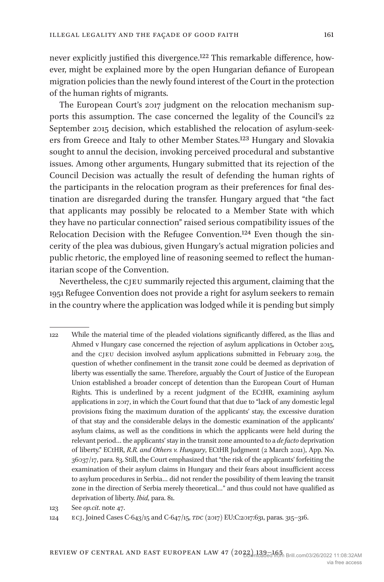never explicitly justified this divergence.[122](#page-22-0) This remarkable difference, however, might be explained more by the open Hungarian defiance of European migration policies than the newly found interest of the Court in the protection of the human rights of migrants.

The European Court's 2017 judgment on the relocation mechanism supports this assumption. The case concerned the legality of the Council's 22 September 2015 decision, which established the relocation of asylum-seekers from Greece and Italy to other Member States.[123](#page-22-1) Hungary and Slovakia sought to annul the decision, invoking perceived procedural and substantive issues. Among other arguments, Hungary submitted that its rejection of the Council Decision was actually the result of defending the human rights of the participants in the relocation program as their preferences for final destination are disregarded during the transfer. Hungary argued that "the fact that applicants may possibly be relocated to a Member State with which they have no particular connection" raised serious compatibility issues of the Relocation Decision with the Refugee Convention.[124](#page-22-2) Even though the sincerity of the plea was dubious, given Hungary's actual migration policies and public rhetoric, the employed line of reasoning seemed to reflect the humanitarian scope of the Convention.

Nevertheless, the cjeu summarily rejected this argument, claiming that the 1951 Refugee Convention does not provide a right for asylum seekers to remain in the country where the application was lodged while it is pending but simply

<span id="page-22-0"></span><sup>122</sup> While the material time of the pleaded violations significantly differed, as the Ilias and Ahmed v Hungary case concerned the rejection of asylum applications in October 2015, and the cjeu decision involved asylum applications submitted in February 2019, the question of whether confinement in the transit zone could be deemed as deprivation of liberty was essentially the same. Therefore, arguably the Court of Justice of the European Union established a broader concept of detention than the European Court of Human Rights. This is underlined by a recent judgment of the ECtHR, examining asylum applications in 2017, in which the Court found that that due to "lack of any domestic legal provisions fixing the maximum duration of the applicants' stay, the excessive duration of that stay and the considerable delays in the domestic examination of the applicants' asylum claims, as well as the conditions in which the applicants were held during the relevant period… the applicants' stay in the transit zone amounted to a *de facto* deprivation of liberty." ECtHR, *R.R. and Others v. Hungary*, ECtHR Judgment (2 March 2021), App. No. 36037/17, para. 83. Still, the Court emphasized that "the risk of the applicants' forfeiting the examination of their asylum claims in Hungary and their fears about insufficient access to asylum procedures in Serbia… did not render the possibility of them leaving the transit zone in the direction of Serbia merely theoretical…" and thus could not have qualified as deprivation of liberty. *Ibid*, para. 81.

<span id="page-22-1"></span><sup>123</sup> See *op.cit*. note 47.

<span id="page-22-2"></span><sup>124</sup> ecj, Joined Cases C-643/15 and C-647/15, *tdc* (2017) EU:C:2017:631, paras. 315–316.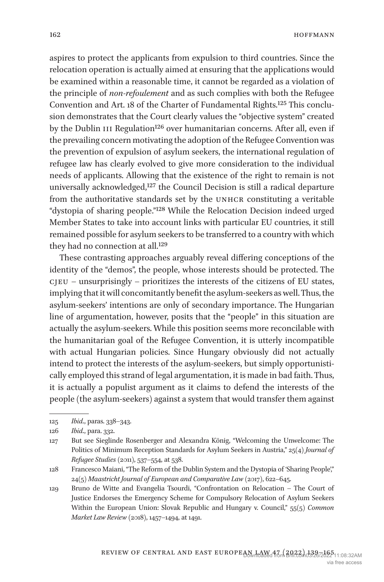aspires to protect the applicants from expulsion to third countries. Since the relocation operation is actually aimed at ensuring that the applications would be examined within a reasonable time, it cannot be regarded as a violation of the principle of *non-refoulement* and as such complies with both the Refugee Convention and Art. 18 of the Charter of Fundamental Rights.[125](#page-23-0) This conclusion demonstrates that the Court clearly values the "objective system" created by the Dublin III Regulation<sup>126</sup> over humanitarian concerns. After all, even if the prevailing concern motivating the adoption of the Refugee Convention was the prevention of expulsion of asylum seekers, the international regulation of refugee law has clearly evolved to give more consideration to the individual needs of applicants. Allowing that the existence of the right to remain is not universally acknowledged,<sup>127</sup> the Council Decision is still a radical departure from the authoritative standards set by the UNHCR constituting a veritable "dystopia of sharing people."[128](#page-23-3) While the Relocation Decision indeed urged Member States to take into account links with particular EU countries, it still remained possible for asylum seekers to be transferred to a country with which they had no connection at all.<sup>129</sup>

These contrasting approaches arguably reveal differing conceptions of the identity of the "demos", the people, whose interests should be protected. The cjeu – unsurprisingly – prioritizes the interests of the citizens of EU states, implying that it will concomitantly benefit the asylum-seekers as well. Thus, the asylum-seekers' intentions are only of secondary importance. The Hungarian line of argumentation, however, posits that the "people" in this situation are actually the asylum-seekers. While this position seems more reconcilable with the humanitarian goal of the Refugee Convention, it is utterly incompatible with actual Hungarian policies. Since Hungary obviously did not actually intend to protect the interests of the asylum-seekers, but simply opportunistically employed this strand of legal argumentation, it is made in bad faith. Thus, it is actually a populist argument as it claims to defend the interests of the people (the asylum-seekers) against a system that would transfer them against

<span id="page-23-1"></span>126 *Ibid*., para. 332.

<span id="page-23-0"></span><sup>125</sup> *Ibid*., paras. 338–343.

<span id="page-23-2"></span><sup>127</sup> But see Sieglinde Rosenberger and Alexandra König, "Welcoming the Unwelcome: The Politics of Minimum Reception Standards for Asylum Seekers in Austria," 25(4) *Journal of Refugee Studies* (2011), 537–554, at 538.

<span id="page-23-3"></span><sup>128</sup> Francesco Maiani, "The Reform of the Dublin System and the Dystopia of 'Sharing People'," 24(5) *Maastricht Journal of European and Comparative Law* (2017), 622–645.

<span id="page-23-4"></span><sup>129</sup> Bruno de Witte and Evangelia Tsourdi, "Confrontation on Relocation – The Court of Justice Endorses the Emergency Scheme for Compulsory Relocation of Asylum Seekers Within the European Union: Slovak Republic and Hungary v. Council," 55(5) *Common Market Law Review* (2018), 1457–1494, at 1491.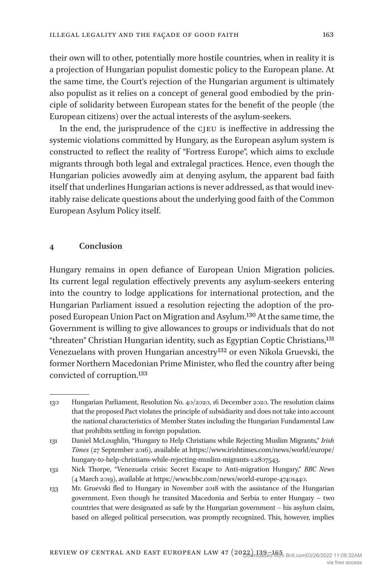their own will to other, potentially more hostile countries, when in reality it is a projection of Hungarian populist domestic policy to the European plane. At the same time, the Court's rejection of the Hungarian argument is ultimately also populist as it relies on a concept of general good embodied by the principle of solidarity between European states for the benefit of the people (the European citizens) over the actual interests of the asylum-seekers.

In the end, the jurisprudence of the cjeu is ineffective in addressing the systemic violations committed by Hungary, as the European asylum system is constructed to reflect the reality of "Fortress Europe", which aims to exclude migrants through both legal and extralegal practices. Hence, even though the Hungarian policies avowedly aim at denying asylum, the apparent bad faith itself that underlines Hungarian actions is never addressed, as that would inevitably raise delicate questions about the underlying good faith of the Common European Asylum Policy itself.

#### **4 Conclusion**

Hungary remains in open defiance of European Union Migration policies. Its current legal regulation effectively prevents any asylum-seekers entering into the country to lodge applications for international protection, and the Hungarian Parliament issued a resolution rejecting the adoption of the proposed European Union Pact on Migration and Asylum[.130](#page-24-0) At the same time, the Government is willing to give allowances to groups or individuals that do not "threaten" Christian Hungarian identity, such as Egyptian Coptic Christians[,131](#page-24-1) Venezuelans with proven Hungarian ancestry<sup>132</sup> or even Nikola Gruevski, the former Northern Macedonian Prime Minister, who fled the country after being convicted of corruption[.133](#page-24-3)

<span id="page-24-0"></span><sup>130</sup> Hungarian Parliament, Resolution No. 40/2020, 16 December 2020. The resolution claims that the proposed Pact violates the principle of subsidiarity and does not take into account the national characteristics of Member States including the Hungarian Fundamental Law that prohibits settling in foreign population.

<span id="page-24-1"></span><sup>131</sup> Daniel McLoughlin, "Hungary to Help Christians while Rejecting Muslim Migrants," *Irish Times* (27 September 2016), available at [https://www.irishtimes.com/news/world/europe/](https://www.irishtimes.com/news/world/europe/hungary-to-help-christians-while-rejecting-muslim-migrants-1.2807543) [hungary-to-help-christians-while-rejecting-muslim-migrants-1.2807543.](https://www.irishtimes.com/news/world/europe/hungary-to-help-christians-while-rejecting-muslim-migrants-1.2807543)

<span id="page-24-2"></span><sup>132</sup> Nick Thorpe, "Venezuela crisis: Secret Escape to Anti-migration Hungary," *BBC News* (4 March 2019), available at <https://www.bbc.com/news/world-europe-47401440>.

<span id="page-24-3"></span><sup>133</sup> Mr. Gruevski fled to Hungary in November 2018 with the assistance of the Hungarian government. Even though he transited Macedonia and Serbia to enter Hungary – two countries that were designated as safe by the Hungarian government – his asylum claim, based on alleged political persecution, was promptly recognized. This, however, implies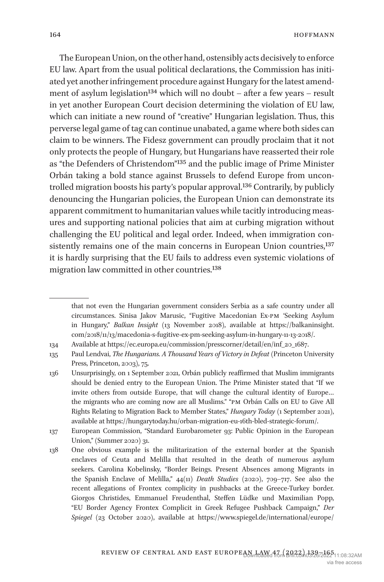The European Union, on the other hand, ostensibly acts decisively to enforce EU law. Apart from the usual political declarations, the Commission has initiated yet another infringement procedure against Hungary for the latest amend-ment of asylum legislation<sup>[134](#page-25-0)</sup> which will no doubt - after a few years - result in yet another European Court decision determining the violation of EU law, which can initiate a new round of "creative" Hungarian legislation. Thus, this perverse legal game of tag can continue unabated, a game where both sides can claim to be winners. The Fidesz government can proudly proclaim that it not only protects the people of Hungary, but Hungarians have reasserted their role as "the Defenders of Christendom"[135](#page-25-1) and the public image of Prime Minister Orbán taking a bold stance against Brussels to defend Europe from uncontrolled migration boosts his party's popular approval.[136](#page-25-2) Contrarily, by publicly denouncing the Hungarian policies, the European Union can demonstrate its apparent commitment to humanitarian values while tacitly introducing measures and supporting national policies that aim at curbing migration without challenging the EU political and legal order. Indeed, when immigration con-sistently remains one of the main concerns in European Union countries,<sup>[137](#page-25-3)</sup> it is hardly surprising that the EU fails to address even systemic violations of migration law committed in other countries.[138](#page-25-4)

that not even the Hungarian government considers Serbia as a safe country under all circumstances. Sinisa Jakov Marusic, "Fugitive Macedonian Ex-pm 'Seeking Asylum in Hungary," *Balkan Insight* (13 November 2018), available at [https://balkaninsight.](https://balkaninsight.com/2018/11/13/macedonia-s-fugitive-ex-pm-seeking-asylum-in-hungary-11-13-2018/) [com/2018/11/13/macedonia-s-fugitive-ex-pm-seeking-asylum-in-hungary-11-13-2018/.](https://balkaninsight.com/2018/11/13/macedonia-s-fugitive-ex-pm-seeking-asylum-in-hungary-11-13-2018/)

<span id="page-25-0"></span><sup>134</sup> Available at [https://ec.europa.eu/commission/presscorner/detail/en/inf\\_20\\_1687.](https://ec.europa.eu/commission/presscorner/detail/en/inf_20_1687)

<span id="page-25-1"></span><sup>135</sup> Paul Lendvai, *The Hungarians. A Thousand Years of Victory in Defeat* (Princeton University Press, Princeton, 2003), 75.

<span id="page-25-2"></span><sup>136</sup> Unsurprisingly, on 1 September 2021, Orbán publicly reaffirmed that Muslim immigrants should be denied entry to the European Union. The Prime Minister stated that "If we invite others from outside Europe, that will change the cultural identity of Europe… the migrants who are coming now are all Muslims." "pm Orbán Calls on EU to Give All Rights Relating to Migration Back to Member States," *Hungary Today* (1 September 2021), available at [https://hungarytoday.hu/orban-migration-eu-16th-bled-strategic-forum/.](https://hungarytoday.hu/orban-migration-eu-16th-bled-strategic-forum/)

<span id="page-25-3"></span><sup>137</sup> European Commission, "Standard Eurobarometer 93: Public Opinion in the European Union," (Summer 2020) 31.

<span id="page-25-4"></span><sup>138</sup> One obvious example is the militarization of the external border at the Spanish enclaves of Ceuta and Melilla that resulted in the death of numerous asylum seekers. Carolina Kobelinsky, "Border Beings. Present Absences among Migrants in the Spanish Enclave of Melilla," 44(11) *Death Studies* (2020), 709–717. See also the recent allegations of Frontex complicity in pushbacks at the Greece-Turkey border. Giorgos Christides, Emmanuel Freudenthal, Steffen Lüdke und Maximilian Popp, "EU Border Agency Frontex Complicit in Greek Refugee Pushback Campaign," *Der Spiegel* (23 October 2020), available at [https://www.spiegel.de/international/europe/](https://www.spiegel.de/international/europe/eu-border-agency-frontex-complicit-in-greek-refugee-pushback-campaign-a-4b6cba29-35a3-4d8c-a49f-a12daad450d7?utm_source=dlvr.it&utm_medium=twitter#ref=rss)